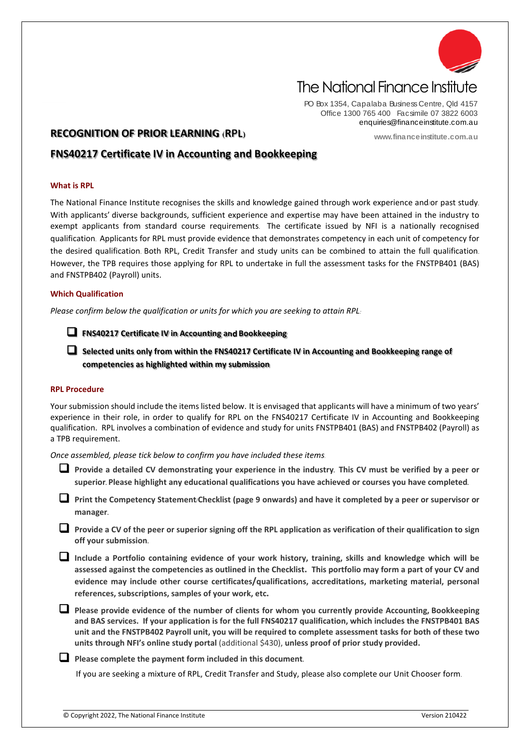

# The National Finance Institute

PO Box 1354, Capalaba Business Centre, Qld 4157 Office 1300 765 400 Facsimile 07 3822 6003 enquiries@financeinstitute.com.au

**www.financeinstitute.com.au**

# **RECOGNITION OF PRIOR LEARNING (RPL)**

# **FNS40217 Certificate IV in Accounting and Bookkeeping**

#### **What is RPL**

The National Finance Institute recognises the skills and knowledge gained through work experience and/or past study. With applicants' diverse backgrounds, sufficient experience and expertise may have been attained in the industry to exempt applicants from standard course requirements. The certificate issued by NFI is a nationally recognised qualification. Applicants for RPL must provide evidence that demonstrates competency in each unit of competency for the desired qualification. Both RPL, Credit Transfer and study units can be combined to attain the full qualification. However, the TPB requires those applying for RPL to undertake in full the assessment tasks for the FNSTPB401 (BAS) and FNSTPB402 (Payroll) units.

#### **Which Qualification**

*Please confirm below the qualification or units for which you are seeking to attain RPL:*

**FNS40217 Certificate IV in Accounting and Bookkeeping**

 **Selected units only from within the FNS40217 Certificate IV in Accounting and Bookkeeping range of competencies as highlighted within my submission**

#### **RPL Procedure**

Your submission should include the items listed below. It is envisaged that applicants will have a minimum of two years' experience in their role, in order to qualify for RPL on the FNS40217 Certificate IV in Accounting and Bookkeeping qualification. RPL involves a combination of evidence and study for units FNSTPB401 (BAS) and FNSTPB402 (Payroll) as a TPB requirement.

*Once assembled, please tick below to confirm you have included these items*.

 **Provide a detailed CV demonstrating your experience in the industry. This CV must be verified by a peer or superior. Please highlight any educational qualifications you have achieved or courses you have completed.**

 **Print the Competency Statement/Checklist (page 9 onwards) and have it completed by a peer or supervisor or manager.**

 **Provide a CV of the peer or superior signing off the RPL application as verification of their qualification to sign off your submission.**

 **Include a Portfolio containing evidence of your work history, training, skills and knowledge which will be assessed against the competencies as outlined in the Checklist. This portfolio may form a part of your CV and evidence may include other course certificates/qualifications, accreditations, marketing material, personal references, subscriptions, samples of your work, etc.**

 **Please provide evidence of the number of clients for whom you currently provide Accounting, Bookkeeping and BAS services. If your application is for the full FNS40217 qualification, which includes the FNSTPB401 BAS unit and the FNSTPB402 Payroll unit, you will be required to complete assessment tasks for both of these two units through NFI's online study portal** (additional \$430), **unless proof of prior study provided.**

**Please complete the payment form included in this document.**

If you are seeking a mixture of RPL, Credit Transfer and Study, please also complete our Unit Chooser form.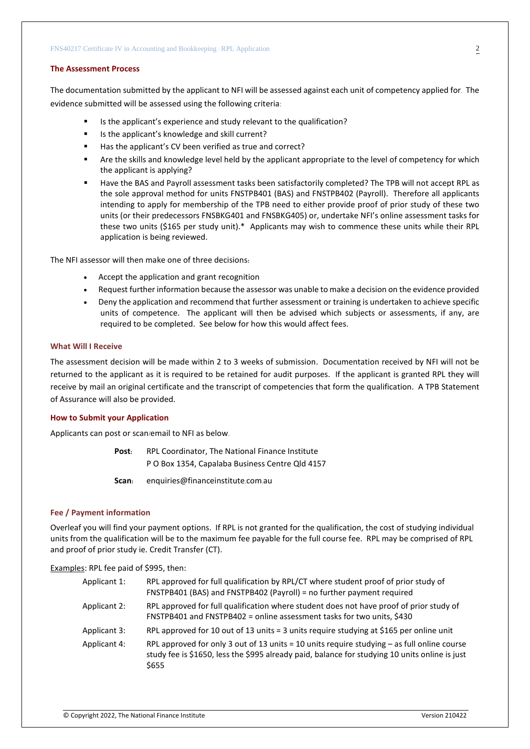#### **The Assessment Process**

The documentation submitted by the applicant to NFI will be assessed against each unit of competency applied for. The evidence submitted will be assessed using the following criteria:

- Is the applicant's experience and study relevant to the qualification?
- Is the applicant's knowledge and skill current?
- Has the applicant's CV been verified as true and correct?
- Are the skills and knowledge level held by the applicant appropriate to the level of competency for which the applicant is applying?
- Have the BAS and Payroll assessment tasks been satisfactorily completed? The TPB will not accept RPL as the sole approval method for units FNSTPB401 (BAS) and FNSTPB402 (Payroll). Therefore all applicants intending to apply for membership of the TPB need to either provide proof of prior study of these two units (or their predecessors FNSBKG401 and FNSBKG405) or, undertake NFI's online assessment tasks for these two units (\$165 per study unit).\* Applicants may wish to commence these units while their RPL application is being reviewed.

The NFI assessor will then make one of three decisions**:**

- Accept the application and grant recognition
- Request further information because the assessor was unable to make a decision on the evidence provided
- Deny the application and recommend that further assessment or training is undertaken to achieve specific units of competence. The applicant will then be advised which subjects or assessments, if any, are required to be completed. See below for how this would affect fees.

#### **What Will I Receive**

The assessment decision will be made within 2 to 3 weeks of submission. Documentation received by NFI will not be returned to the applicant as it is required to be retained for audit purposes. If the applicant is granted RPL they will receive by mail an original certificate and the transcript of competencies that form the qualification. A TPB Statement of Assurance will also be provided.

#### **How to Submit your Application**

Applicants can post or scan/email to NFI as below.

**Post:** RPL Coordinator, The National Finance Institute P O Box 1354, Capalaba Business Centre Qld 4157

**Scan:** enquiries@financeinstitute.com.au

#### **Fee / Payment information**

Overleaf you will find your payment options. If RPL is not granted for the qualification, the cost of studying individual units from the qualification will be to the maximum fee payable for the full course fee. RPL may be comprised of RPL and proof of prior study ie. Credit Transfer (CT).

Examples: RPL fee paid of \$995, then:

| Applicant 1: | RPL approved for full qualification by RPL/CT where student proof of prior study of<br>FNSTPB401 (BAS) and FNSTPB402 (Payroll) = no further payment required                                             |
|--------------|----------------------------------------------------------------------------------------------------------------------------------------------------------------------------------------------------------|
| Applicant 2: | RPL approved for full qualification where student does not have proof of prior study of<br>FNSTPB401 and FNSTPB402 = online assessment tasks for two units, \$430                                        |
| Applicant 3: | RPL approved for 10 out of 13 units = 3 units require studying at \$165 per online unit                                                                                                                  |
| Applicant 4: | RPL approved for only 3 out of 13 units = 10 units require studying $-$ as full online course<br>study fee is \$1650, less the \$995 already paid, balance for studying 10 units online is just<br>\$655 |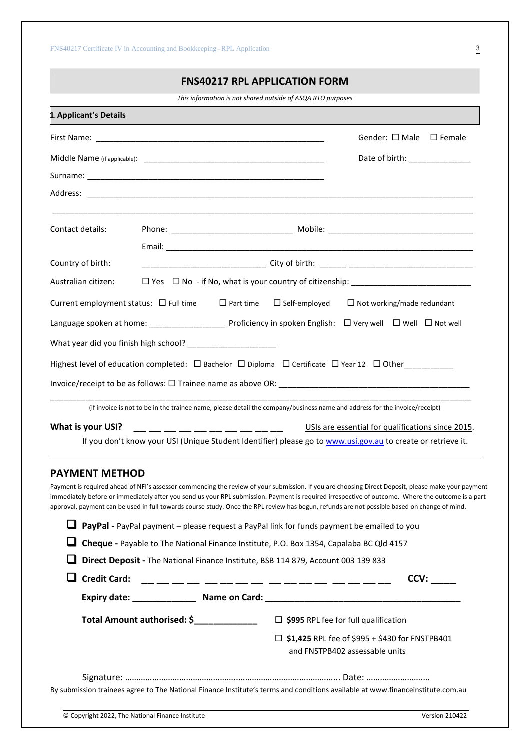# **FNS40217 RPL APPLICATION FORM**

*This information is not shared outside of ASQA RTO purposes*

| 1. Applicant's Details |                                                              |                                                                                                                                                                                                                                                                                                                                                                                                                                                         |
|------------------------|--------------------------------------------------------------|---------------------------------------------------------------------------------------------------------------------------------------------------------------------------------------------------------------------------------------------------------------------------------------------------------------------------------------------------------------------------------------------------------------------------------------------------------|
|                        |                                                              | Gender: $\square$ Male $\square$ Female                                                                                                                                                                                                                                                                                                                                                                                                                 |
|                        |                                                              | Date of birth: ______________                                                                                                                                                                                                                                                                                                                                                                                                                           |
|                        |                                                              |                                                                                                                                                                                                                                                                                                                                                                                                                                                         |
|                        |                                                              |                                                                                                                                                                                                                                                                                                                                                                                                                                                         |
| Contact details:       |                                                              |                                                                                                                                                                                                                                                                                                                                                                                                                                                         |
|                        |                                                              |                                                                                                                                                                                                                                                                                                                                                                                                                                                         |
| Country of birth:      |                                                              | ____________________________________City of birth: _______ ______________________                                                                                                                                                                                                                                                                                                                                                                       |
| Australian citizen:    |                                                              |                                                                                                                                                                                                                                                                                                                                                                                                                                                         |
|                        | Current employment status: $\Box$ Full time $\Box$ Part time | $\Box$ Self-employed<br>$\Box$ Not working/made redundant                                                                                                                                                                                                                                                                                                                                                                                               |
|                        |                                                              |                                                                                                                                                                                                                                                                                                                                                                                                                                                         |
|                        |                                                              |                                                                                                                                                                                                                                                                                                                                                                                                                                                         |
|                        |                                                              | Highest level of education completed: □ Bachelor □ Diploma □ Certificate □ Year 12 □ Other_________                                                                                                                                                                                                                                                                                                                                                     |
|                        |                                                              |                                                                                                                                                                                                                                                                                                                                                                                                                                                         |
|                        |                                                              | (if invoice is not to be in the trainee name, please detail the company/business name and address for the invoice/receipt)                                                                                                                                                                                                                                                                                                                              |
| What is your USI?      |                                                              | __ __ __ __ __ __ __ __ __ __ __<br>USIs are essential for qualifications since 2015.                                                                                                                                                                                                                                                                                                                                                                   |
|                        |                                                              | If you don't know your USI (Unique Student Identifier) please go to www.usi.gov.au to create or retrieve it.                                                                                                                                                                                                                                                                                                                                            |
| <b>PAYMENT METHOD</b>  |                                                              |                                                                                                                                                                                                                                                                                                                                                                                                                                                         |
|                        |                                                              | Payment is required ahead of NFI's assessor commencing the review of your submission. If you are choosing Direct Deposit, please make your payment<br>immediately before or immediately after you send us your RPL submission. Payment is required irrespective of outcome. Where the outcome is a part<br>approval, payment can be used in full towards course study. Once the RPL review has begun, refunds are not possible based on change of mind. |
|                        |                                                              | PayPal - PayPal payment - please request a PayPal link for funds payment be emailed to you                                                                                                                                                                                                                                                                                                                                                              |
|                        |                                                              | Cheque - Payable to The National Finance Institute, P.O. Box 1354, Capalaba BC Qld 4157                                                                                                                                                                                                                                                                                                                                                                 |
|                        |                                                              | Direct Deposit - The National Finance Institute, BSB 114 879, Account 003 139 833                                                                                                                                                                                                                                                                                                                                                                       |
| <b>Credit Card:</b>    |                                                              | CCV:                                                                                                                                                                                                                                                                                                                                                                                                                                                    |
|                        |                                                              |                                                                                                                                                                                                                                                                                                                                                                                                                                                         |
|                        | Total Amount authorised: \$______________                    | $\Box$ \$995 RPL fee for full qualification                                                                                                                                                                                                                                                                                                                                                                                                             |
|                        |                                                              | $\Box$ \$1,425 RPL fee of \$995 + \$430 for FNSTPB401<br>and FNSTPB402 assessable units                                                                                                                                                                                                                                                                                                                                                                 |

Signature: …………………………………………..……………………………………... Date: …………………….… By submission trainees agree to The National Finance Institute's terms and conditions available at www.financeinstitute.com.au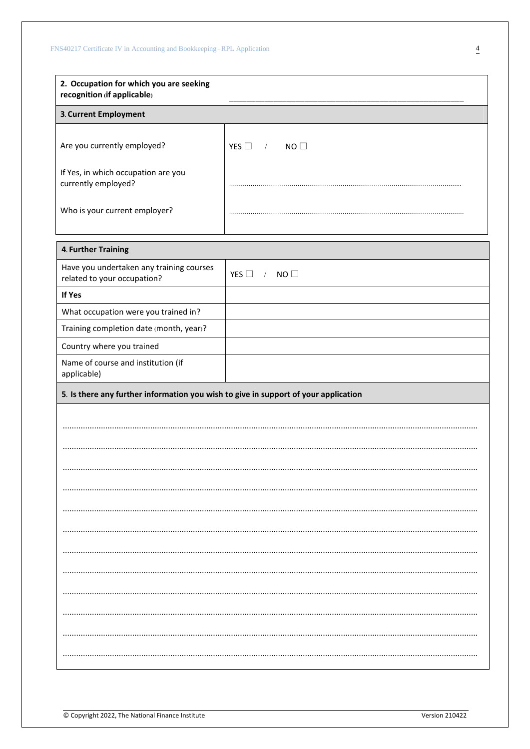| 2. Occupation for which you are seeking<br>recognition (if applicable)              |                                   |  |  |  |
|-------------------------------------------------------------------------------------|-----------------------------------|--|--|--|
| 3. Current Employment                                                               |                                   |  |  |  |
|                                                                                     |                                   |  |  |  |
| Are you currently employed?                                                         | YES $\square$<br>NO<br>$\sqrt{2}$ |  |  |  |
| If Yes, in which occupation are you<br>currently employed?                          |                                   |  |  |  |
| Who is your current employer?                                                       |                                   |  |  |  |
| 4. Further Training                                                                 |                                   |  |  |  |
| Have you undertaken any training courses<br>related to your occupation?             | NO<br>YES $\Box$<br>$\sqrt{2}$    |  |  |  |
| If Yes                                                                              |                                   |  |  |  |
| What occupation were you trained in?                                                |                                   |  |  |  |
| Training completion date (month, year)?                                             |                                   |  |  |  |
| Country where you trained                                                           |                                   |  |  |  |
| Name of course and institution (if<br>applicable)                                   |                                   |  |  |  |
| 5. Is there any further information you wish to give in support of your application |                                   |  |  |  |
|                                                                                     |                                   |  |  |  |
|                                                                                     |                                   |  |  |  |
|                                                                                     |                                   |  |  |  |
|                                                                                     |                                   |  |  |  |
|                                                                                     |                                   |  |  |  |
|                                                                                     |                                   |  |  |  |
|                                                                                     |                                   |  |  |  |
|                                                                                     |                                   |  |  |  |
|                                                                                     |                                   |  |  |  |
|                                                                                     |                                   |  |  |  |
|                                                                                     |                                   |  |  |  |
|                                                                                     |                                   |  |  |  |
|                                                                                     |                                   |  |  |  |
|                                                                                     |                                   |  |  |  |
|                                                                                     |                                   |  |  |  |
|                                                                                     |                                   |  |  |  |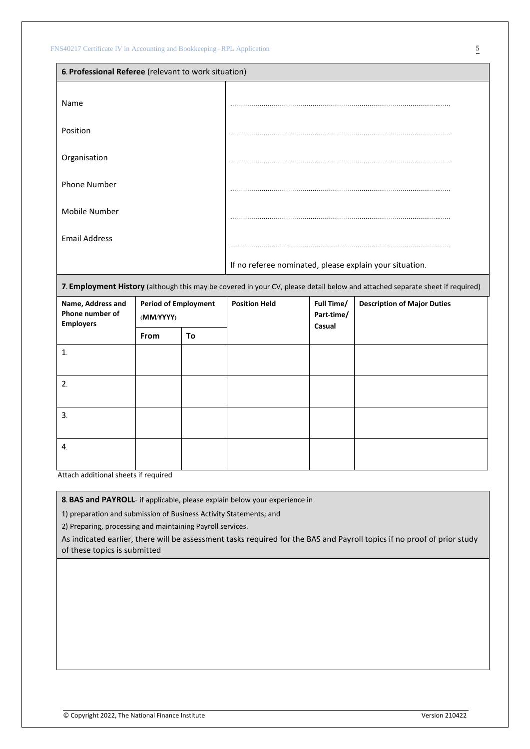| 6. Professional Referee (relevant to work situation)                                                                         |                                                         |  |
|------------------------------------------------------------------------------------------------------------------------------|---------------------------------------------------------|--|
| Name                                                                                                                         |                                                         |  |
| Position                                                                                                                     |                                                         |  |
| Organisation                                                                                                                 |                                                         |  |
| <b>Phone Number</b>                                                                                                          |                                                         |  |
| Mobile Number                                                                                                                |                                                         |  |
| <b>Email Address</b>                                                                                                         |                                                         |  |
|                                                                                                                              | If no referee nominated, please explain your situation. |  |
| 7. Employment History (although this may be covered in your CV, please detail below and attached separate sheet if required) |                                                         |  |

| Name, Address and<br>Phone number of<br><b>Employers</b> | <b>Period of Employment</b><br>(MM/YYYY) |    | <b>Position Held</b> | Full Time/<br>Part-time/<br>Casual | <b>Description of Major Duties</b> |
|----------------------------------------------------------|------------------------------------------|----|----------------------|------------------------------------|------------------------------------|
|                                                          | From                                     | To |                      |                                    |                                    |
| $\mathbf{1}$                                             |                                          |    |                      |                                    |                                    |
|                                                          |                                          |    |                      |                                    |                                    |
| 2.                                                       |                                          |    |                      |                                    |                                    |
| 3.                                                       |                                          |    |                      |                                    |                                    |
| 4.                                                       |                                          |    |                      |                                    |                                    |

Attach additional sheets if required

**8. BAS and PAYROLL**- if applicable, please explain below your experience in

1) preparation and submission of Business Activity Statements; and

2) Preparing, processing and maintaining Payroll services.

As indicated earlier, there will be assessment tasks required for the BAS and Payroll topics if no proof of prior study of these topics is submitted

© Copyright 2022, The National Finance Institute Version 210422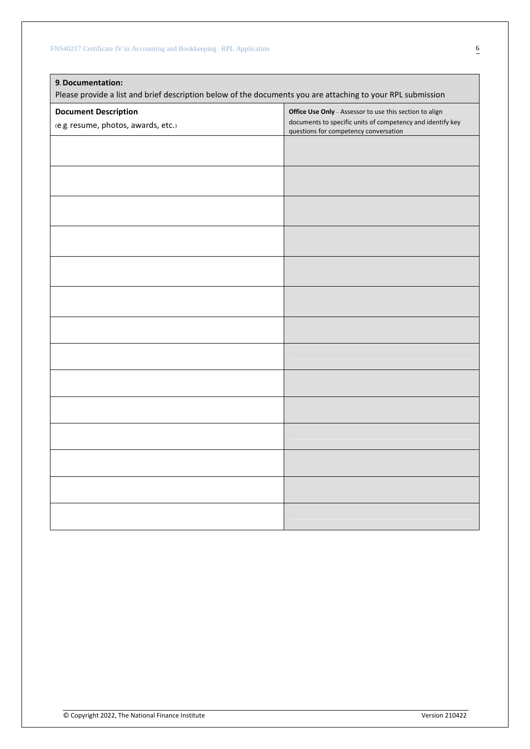| 9. Documentation:<br>Please provide a list and brief description below of the documents you are attaching to your RPL submission |                                                                                                     |  |  |
|----------------------------------------------------------------------------------------------------------------------------------|-----------------------------------------------------------------------------------------------------|--|--|
| <b>Document Description</b>                                                                                                      | Office Use Only - Assessor to use this section to align                                             |  |  |
| (e.g. resume, photos, awards, etc.)                                                                                              | documents to specific units of competency and identify key<br>questions for competency conversation |  |  |
|                                                                                                                                  |                                                                                                     |  |  |
|                                                                                                                                  |                                                                                                     |  |  |
|                                                                                                                                  |                                                                                                     |  |  |
|                                                                                                                                  |                                                                                                     |  |  |
|                                                                                                                                  |                                                                                                     |  |  |
|                                                                                                                                  |                                                                                                     |  |  |
|                                                                                                                                  |                                                                                                     |  |  |
|                                                                                                                                  |                                                                                                     |  |  |
|                                                                                                                                  |                                                                                                     |  |  |
|                                                                                                                                  |                                                                                                     |  |  |
|                                                                                                                                  |                                                                                                     |  |  |
|                                                                                                                                  |                                                                                                     |  |  |
|                                                                                                                                  |                                                                                                     |  |  |
|                                                                                                                                  |                                                                                                     |  |  |
|                                                                                                                                  |                                                                                                     |  |  |
|                                                                                                                                  |                                                                                                     |  |  |
|                                                                                                                                  |                                                                                                     |  |  |
|                                                                                                                                  |                                                                                                     |  |  |
|                                                                                                                                  |                                                                                                     |  |  |
|                                                                                                                                  |                                                                                                     |  |  |
|                                                                                                                                  |                                                                                                     |  |  |
|                                                                                                                                  |                                                                                                     |  |  |
|                                                                                                                                  |                                                                                                     |  |  |
|                                                                                                                                  |                                                                                                     |  |  |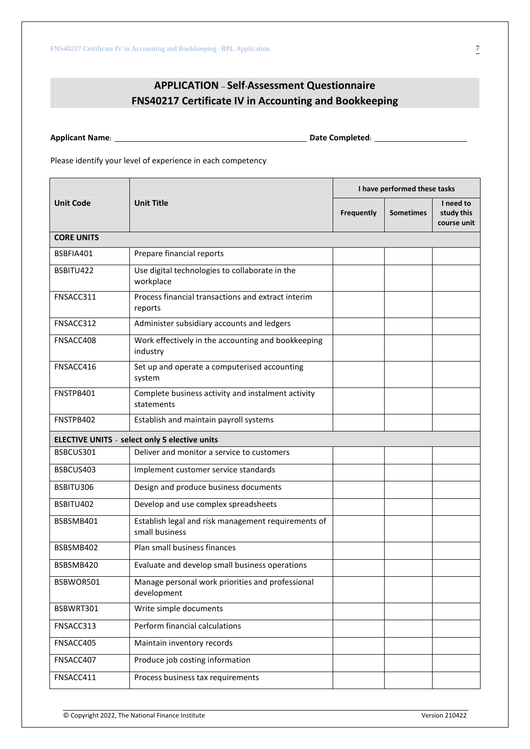# **APPLICATION – Self-Assessment Questionnaire FNS40217 Certificate IV in Accounting and Bookkeeping**

**Applicant Name: Date Completed:**

Please identify your level of experience in each competency.

|                   |                                                                       | I have performed these tasks |                  |                                        |  |
|-------------------|-----------------------------------------------------------------------|------------------------------|------------------|----------------------------------------|--|
| <b>Unit Code</b>  | <b>Unit Title</b>                                                     | <b>Frequently</b>            | <b>Sometimes</b> | I need to<br>study this<br>course unit |  |
| <b>CORE UNITS</b> |                                                                       |                              |                  |                                        |  |
| BSBFIA401         | Prepare financial reports                                             |                              |                  |                                        |  |
| BSBITU422         | Use digital technologies to collaborate in the<br>workplace           |                              |                  |                                        |  |
| FNSACC311         | Process financial transactions and extract interim<br>reports         |                              |                  |                                        |  |
| FNSACC312         | Administer subsidiary accounts and ledgers                            |                              |                  |                                        |  |
| FNSACC408         | Work effectively in the accounting and bookkeeping<br>industry        |                              |                  |                                        |  |
| FNSACC416         | Set up and operate a computerised accounting<br>system                |                              |                  |                                        |  |
| FNSTPB401         | Complete business activity and instalment activity<br>statements      |                              |                  |                                        |  |
| FNSTPB402         | Establish and maintain payroll systems                                |                              |                  |                                        |  |
|                   | <b>ELECTIVE UNITS - select only 5 elective units</b>                  |                              |                  |                                        |  |
| BSBCUS301         | Deliver and monitor a service to customers                            |                              |                  |                                        |  |
| BSBCUS403         | Implement customer service standards                                  |                              |                  |                                        |  |
| BSBITU306         | Design and produce business documents                                 |                              |                  |                                        |  |
| BSBITU402         | Develop and use complex spreadsheets                                  |                              |                  |                                        |  |
| BSBSMB401         | Establish legal and risk management requirements of<br>small business |                              |                  |                                        |  |
| BSBSMB402         | Plan small business finances                                          |                              |                  |                                        |  |
| BSBSMB420         | Evaluate and develop small business operations                        |                              |                  |                                        |  |
| BSBWOR501         | Manage personal work priorities and professional<br>development       |                              |                  |                                        |  |
| BSBWRT301         | Write simple documents                                                |                              |                  |                                        |  |
| FNSACC313         | Perform financial calculations                                        |                              |                  |                                        |  |
| FNSACC405         | Maintain inventory records                                            |                              |                  |                                        |  |
| FNSACC407         | Produce job costing information                                       |                              |                  |                                        |  |
| FNSACC411         | Process business tax requirements                                     |                              |                  |                                        |  |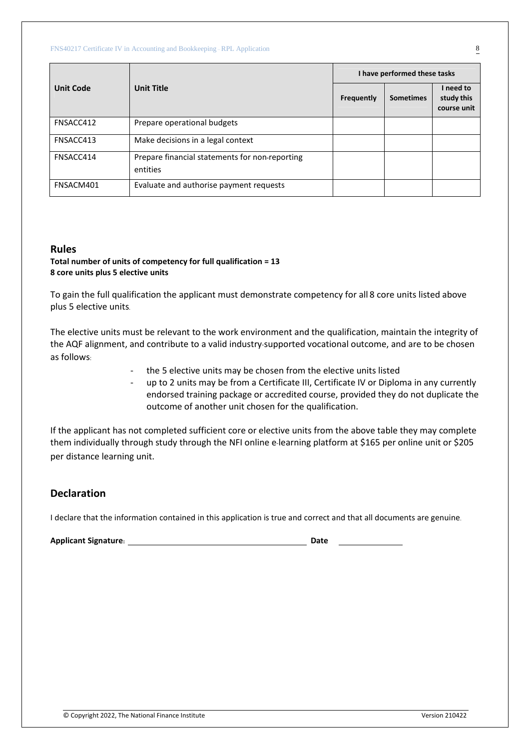|                  | <b>Unit Title</b>                                          | I have performed these tasks |                  |                                        |  |
|------------------|------------------------------------------------------------|------------------------------|------------------|----------------------------------------|--|
| <b>Unit Code</b> |                                                            | <b>Frequently</b>            | <b>Sometimes</b> | I need to<br>study this<br>course unit |  |
| FNSACC412        | Prepare operational budgets                                |                              |                  |                                        |  |
| FNSACC413        | Make decisions in a legal context                          |                              |                  |                                        |  |
| FNSACC414        | Prepare financial statements for non-reporting<br>entities |                              |                  |                                        |  |
| FNSACM401        | Evaluate and authorise payment requests                    |                              |                  |                                        |  |

# **Rules**

### **Total number of units of competency for full qualification = 13 8 core units plus 5 elective units**

To gain the full qualification the applicant must demonstrate competency for all 8 core units listed above plus 5 elective units.

The elective units must be relevant to the work environment and the qualification, maintain the integrity of the AQF alignment, and contribute to a valid industry-supported vocational outcome, and are to be chosen as follows:

- the 5 elective units may be chosen from the elective units listed
- up to 2 units may be from a Certificate III, Certificate IV or Diploma in any currently endorsed training package or accredited course, provided they do not duplicate the outcome of another unit chosen for the qualification.

If the applicant has not completed sufficient core or elective units from the above table they may complete them individually through study through the NFI online e-learning platform at \$165 per online unit or \$205 per distance learning unit.

# **Declaration**

I declare that the information contained in this application is true and correct and that all documents are genuine.

| <b>Applicant Signature:</b> | Date |  |
|-----------------------------|------|--|
|                             |      |  |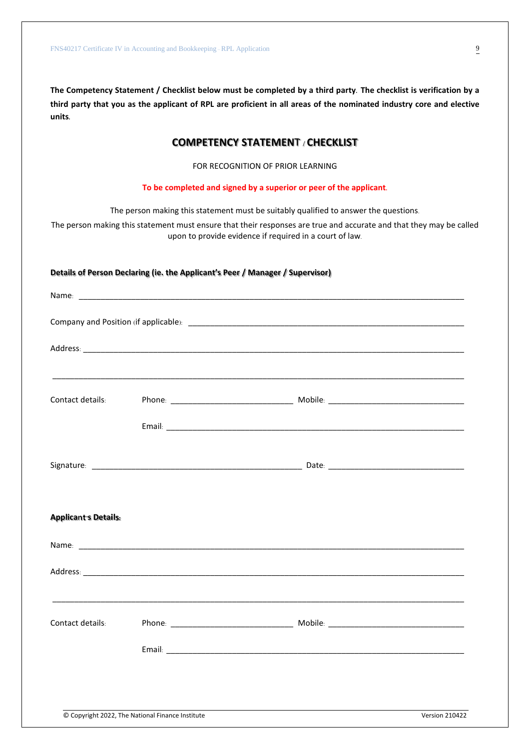**The Competency Statement / Checklist below must be completed by a third party. The checklist is verification by a third party that you as the applicant of RPL are proficient in all areas of the nominated industry core and elective units.**

# **COMPETENCY STATEMENT / CHECKLIST**

FOR RECOGNITION OF PRIOR LEARNING

**To be completed and signed by a superior or peer of the applicant.**

The person making this statement must be suitably qualified to answer the questions.

The person making this statement must ensure that their responses are true and accurate and that they may be called upon to provide evidence if required in a court of law.

#### **Details of Person Declaring (ie. the Applicant's Peer / Manager / Supervisor)**

| Contact details:            |  |  |
|-----------------------------|--|--|
|                             |  |  |
|                             |  |  |
|                             |  |  |
| <b>Applicant's Details:</b> |  |  |
|                             |  |  |
|                             |  |  |
|                             |  |  |
| Contact details:            |  |  |
|                             |  |  |
|                             |  |  |
|                             |  |  |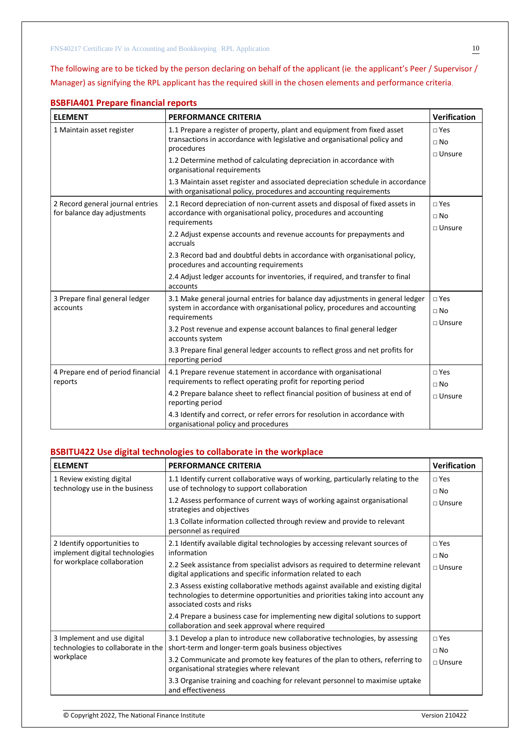The following are to be ticked by the person declaring on behalf of the applicant (ie. the applicant's Peer / Supervisor / Manager) as signifying the RPL applicant has the required skill in the chosen elements and performance criteria.

| <b>ELEMENT</b>                                                  | <b>PERFORMANCE CRITERIA</b>                                                                                                                                                  | Verification                                |
|-----------------------------------------------------------------|------------------------------------------------------------------------------------------------------------------------------------------------------------------------------|---------------------------------------------|
| 1 Maintain asset register                                       | 1.1 Prepare a register of property, plant and equipment from fixed asset<br>transactions in accordance with legislative and organisational policy and<br>procedures          | $\square$ Yes<br>$\Box$ No<br>$\Box$ Unsure |
|                                                                 | 1.2 Determine method of calculating depreciation in accordance with<br>organisational requirements                                                                           |                                             |
|                                                                 | 1.3 Maintain asset register and associated depreciation schedule in accordance<br>with organisational policy, procedures and accounting requirements                         |                                             |
| 2 Record general journal entries<br>for balance day adjustments | 2.1 Record depreciation of non-current assets and disposal of fixed assets in<br>accordance with organisational policy, procedures and accounting<br>requirements            | $\neg$ Yes<br>$\Box$ No<br>$\Box$ Unsure    |
|                                                                 | 2.2 Adjust expense accounts and revenue accounts for prepayments and<br>accruals                                                                                             |                                             |
|                                                                 | 2.3 Record bad and doubtful debts in accordance with organisational policy,<br>procedures and accounting requirements                                                        |                                             |
|                                                                 | 2.4 Adjust ledger accounts for inventories, if required, and transfer to final<br>accounts                                                                                   |                                             |
| 3 Prepare final general ledger<br>accounts                      | 3.1 Make general journal entries for balance day adjustments in general ledger<br>system in accordance with organisational policy, procedures and accounting<br>requirements | $\neg$ Yes<br>$\Box$ No<br>$\Box$ Unsure    |
|                                                                 | 3.2 Post revenue and expense account balances to final general ledger<br>accounts system                                                                                     |                                             |
|                                                                 | 3.3 Prepare final general ledger accounts to reflect gross and net profits for<br>reporting period                                                                           |                                             |
| 4 Prepare end of period financial<br>reports                    | 4.1 Prepare revenue statement in accordance with organisational<br>requirements to reflect operating profit for reporting period                                             | $\neg$ Yes<br>$\Box$ No                     |
|                                                                 | 4.2 Prepare balance sheet to reflect financial position of business at end of<br>reporting period                                                                            | $\Box$ Unsure                               |
|                                                                 | 4.3 Identify and correct, or refer errors for resolution in accordance with<br>organisational policy and procedures                                                          |                                             |

### **BSBFIA401 Prepare financial reports**

### **BSBITU422 Use digital technologies to collaborate in the workplace**

| <b>ELEMENT</b>                                                    | <b>PERFORMANCE CRITERIA</b>                                                                                                                                                                      | <b>Verification</b>       |
|-------------------------------------------------------------------|--------------------------------------------------------------------------------------------------------------------------------------------------------------------------------------------------|---------------------------|
| 1 Review existing digital<br>technology use in the business       | 1.1 Identify current collaborative ways of working, particularly relating to the<br>use of technology to support collaboration                                                                   | $\sqcap$ Yes<br>$\Box$ No |
|                                                                   | 1.2 Assess performance of current ways of working against organisational<br>strategies and objectives                                                                                            | $\Box$ Unsure             |
|                                                                   | 1.3 Collate information collected through review and provide to relevant<br>personnel as required                                                                                                |                           |
| 2 Identify opportunities to<br>implement digital technologies     | 2.1 Identify available digital technologies by accessing relevant sources of<br>information                                                                                                      | $\sqcap$ Yes<br>$\Box$ No |
| for workplace collaboration                                       | 2.2 Seek assistance from specialist advisors as required to determine relevant<br>digital applications and specific information related to each                                                  | $\sqcap$ Unsure           |
|                                                                   | 2.3 Assess existing collaborative methods against available and existing digital<br>technologies to determine opportunities and priorities taking into account any<br>associated costs and risks |                           |
|                                                                   | 2.4 Prepare a business case for implementing new digital solutions to support<br>collaboration and seek approval where required                                                                  |                           |
| 3 Implement and use digital<br>technologies to collaborate in the | 3.1 Develop a plan to introduce new collaborative technologies, by assessing<br>short-term and longer-term goals business objectives                                                             | $\sqcap$ Yes<br>$\Box$ No |
| workplace                                                         | 3.2 Communicate and promote key features of the plan to others, referring to<br>organisational strategies where relevant                                                                         | $\Box$ Unsure             |
|                                                                   | 3.3 Organise training and coaching for relevant personnel to maximise uptake<br>and effectiveness                                                                                                |                           |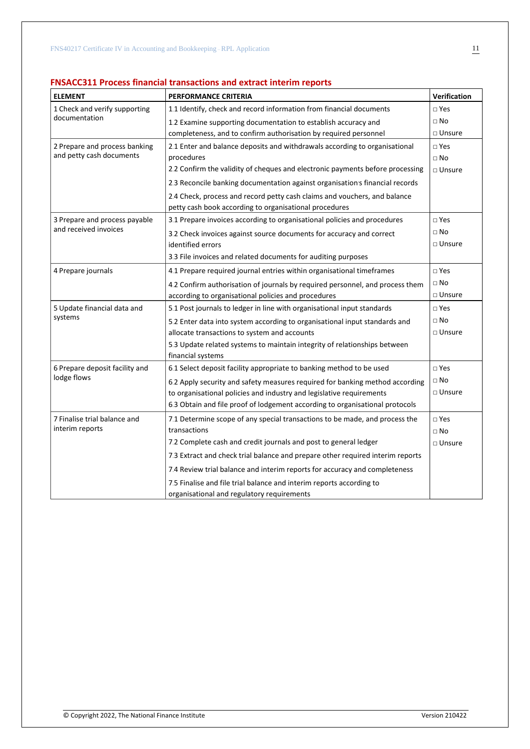# **FNSACC311 Process financial transactions and extract interim reports**

| <b>ELEMENT</b>                 | <b>PERFORMANCE CRITERIA</b>                                                                                        | Verification  |
|--------------------------------|--------------------------------------------------------------------------------------------------------------------|---------------|
| 1 Check and verify supporting  | 1.1 Identify, check and record information from financial documents                                                | $\Box$ Yes    |
| documentation                  | 1.2 Examine supporting documentation to establish accuracy and                                                     | $\Box$ No     |
|                                | completeness, and to confirm authorisation by required personnel                                                   | $\Box$ Unsure |
| 2 Prepare and process banking  | 2.1 Enter and balance deposits and withdrawals according to organisational                                         | $\Box$ Yes    |
| and petty cash documents       | procedures                                                                                                         | $\Box$ No     |
|                                | 2.2 Confirm the validity of cheques and electronic payments before processing                                      | $\Box$ Unsure |
|                                | 2.3 Reconcile banking documentation against organisation's financial records                                       |               |
|                                | 2.4 Check, process and record petty cash claims and vouchers, and balance                                          |               |
|                                | petty cash book according to organisational procedures                                                             |               |
| 3 Prepare and process payable  | 3.1 Prepare invoices according to organisational policies and procedures                                           | $\square$ Yes |
| and received invoices          | 3.2 Check invoices against source documents for accuracy and correct                                               | $\square$ No  |
|                                | identified errors                                                                                                  | $\Box$ Unsure |
|                                | 3.3 File invoices and related documents for auditing purposes                                                      |               |
| 4 Prepare journals             | 4.1 Prepare required journal entries within organisational timeframes                                              | $\square$ Yes |
|                                | 4.2 Confirm authorisation of journals by required personnel, and process them                                      | $\square$ No  |
|                                | according to organisational policies and procedures                                                                | $\Box$ Unsure |
| 5 Update financial data and    | 5.1 Post journals to ledger in line with organisational input standards                                            | $\square$ Yes |
| systems                        | 5.2 Enter data into system according to organisational input standards and                                         | $\sqcap$ No   |
|                                | allocate transactions to system and accounts                                                                       | $\Box$ Unsure |
|                                | 5.3 Update related systems to maintain integrity of relationships between<br>financial systems                     |               |
| 6 Prepare deposit facility and | 6.1 Select deposit facility appropriate to banking method to be used                                               | $\square$ Yes |
| lodge flows                    | 6.2 Apply security and safety measures required for banking method according                                       | $\Box$ No     |
|                                | to organisational policies and industry and legislative requirements                                               | □ Unsure      |
|                                | 6.3 Obtain and file proof of lodgement according to organisational protocols                                       |               |
| 7 Finalise trial balance and   | 7.1 Determine scope of any special transactions to be made, and process the                                        | $\square$ Yes |
| interim reports                | transactions                                                                                                       | $\Box$ No     |
|                                | 7.2 Complete cash and credit journals and post to general ledger                                                   | □ Unsure      |
|                                | 7.3 Extract and check trial balance and prepare other required interim reports                                     |               |
|                                | 7.4 Review trial balance and interim reports for accuracy and completeness                                         |               |
|                                | 7.5 Finalise and file trial balance and interim reports according to<br>organisational and regulatory requirements |               |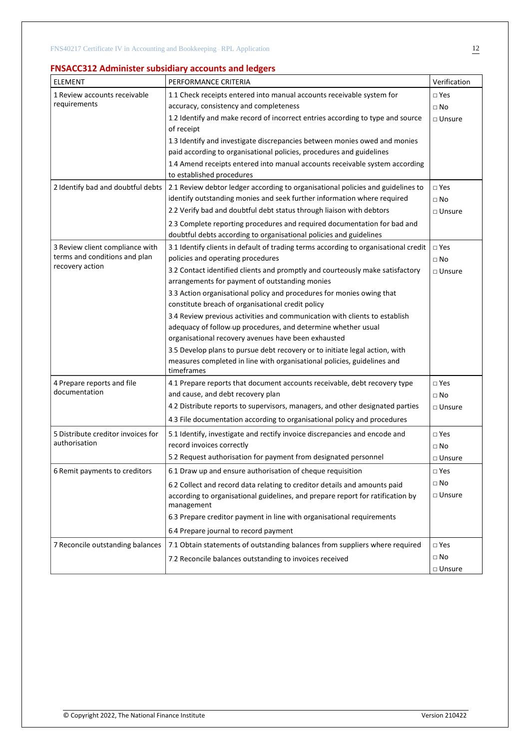# **FNSACC312 Administer subsidiary accounts and ledgers**

| <b>ELEMENT</b>                              | PERFORMANCE CRITERIA                                                                | Verification     |
|---------------------------------------------|-------------------------------------------------------------------------------------|------------------|
| 1 Review accounts receivable                | 1.1 Check receipts entered into manual accounts receivable system for               | □ Yes            |
| requirements                                | accuracy, consistency and completeness                                              | $\square$ No     |
|                                             | 1.2 Identify and make record of incorrect entries according to type and source      | $\square$ Unsure |
|                                             | of receipt                                                                          |                  |
|                                             | 1.3 Identify and investigate discrepancies between monies owed and monies           |                  |
|                                             | paid according to organisational policies, procedures and guidelines                |                  |
|                                             | 1.4 Amend receipts entered into manual accounts receivable system according         |                  |
|                                             | to established procedures                                                           |                  |
| 2 Identify bad and doubtful debts           | 2.1 Review debtor ledger according to organisational policies and guidelines to     | $\square$ Yes    |
|                                             | identify outstanding monies and seek further information where required             | $\square$ No     |
|                                             | 2.2 Verify bad and doubtful debt status through liaison with debtors                | □ Unsure         |
|                                             | 2.3 Complete reporting procedures and required documentation for bad and            |                  |
|                                             | doubtful debts according to organisational policies and guidelines                  |                  |
| 3 Review client compliance with             | 3.1 Identify clients in default of trading terms according to organisational credit | $\square$ Yes    |
| terms and conditions and plan               | policies and operating procedures                                                   | $\square$ No     |
| recovery action                             | 3.2 Contact identified clients and promptly and courteously make satisfactory       | □ Unsure         |
|                                             | arrangements for payment of outstanding monies                                      |                  |
|                                             | 3.3 Action organisational policy and procedures for monies owing that               |                  |
|                                             | constitute breach of organisational credit policy                                   |                  |
|                                             | 3.4 Review previous activities and communication with clients to establish          |                  |
|                                             | adequacy of follow-up procedures, and determine whether usual                       |                  |
|                                             | organisational recovery avenues have been exhausted                                 |                  |
|                                             | 3.5 Develop plans to pursue debt recovery or to initiate legal action, with         |                  |
|                                             | measures completed in line with organisational policies, guidelines and             |                  |
|                                             | timeframes                                                                          |                  |
| 4 Prepare reports and file<br>documentation | 4.1 Prepare reports that document accounts receivable, debt recovery type           | □ Yes            |
|                                             | and cause, and debt recovery plan                                                   | $\square$ No     |
|                                             | 4.2 Distribute reports to supervisors, managers, and other designated parties       | □ Unsure         |
|                                             | 4.3 File documentation according to organisational policy and procedures            |                  |
| 5 Distribute creditor invoices for          | 5.1 Identify, investigate and rectify invoice discrepancies and encode and          | □ Yes            |
| authorisation                               | record invoices correctly                                                           | $\square$ No     |
|                                             | 5.2 Request authorisation for payment from designated personnel                     | □ Unsure         |
| 6 Remit payments to creditors               | 6.1 Draw up and ensure authorisation of cheque requisition                          | $\square$ Yes    |
|                                             | 6.2 Collect and record data relating to creditor details and amounts paid           | □ No             |
|                                             | according to organisational guidelines, and prepare report for ratification by      | □ Unsure         |
|                                             | management                                                                          |                  |
|                                             | 6.3 Prepare creditor payment in line with organisational requirements               |                  |
|                                             | 6.4 Prepare journal to record payment                                               |                  |
| 7 Reconcile outstanding balances            | 7.1 Obtain statements of outstanding balances from suppliers where required         | $\square$ Yes    |
|                                             | 7.2 Reconcile balances outstanding to invoices received                             | $\square$ No     |
|                                             |                                                                                     | $\Box$ Unsure    |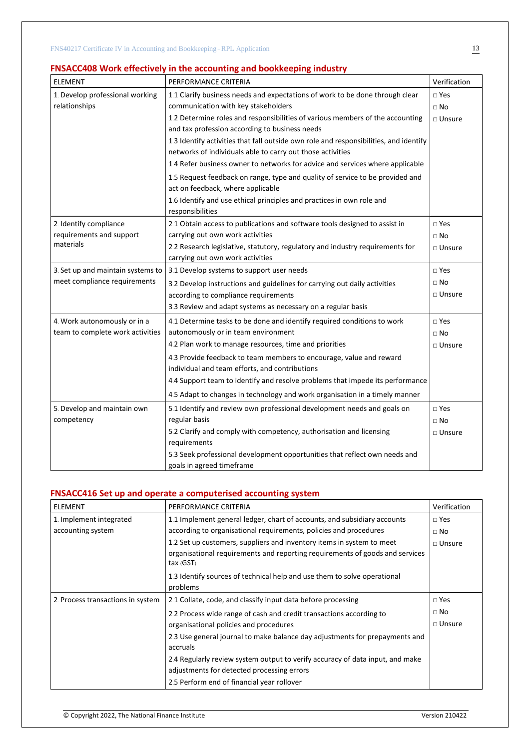# **FNSACC408 Work effectively in the accounting and bookkeeping industry**

| <b>ELEMENT</b>                    | PERFORMANCE CRITERIA                                                                                                            | Verification     |
|-----------------------------------|---------------------------------------------------------------------------------------------------------------------------------|------------------|
| 1. Develop professional working   | 1.1 Clarify business needs and expectations of work to be done through clear                                                    | $\sqcap$ Yes     |
| relationships                     | communication with key stakeholders                                                                                             | $\Box$ No        |
|                                   | 1.2 Determine roles and responsibilities of various members of the accounting<br>and tax profession according to business needs | $\Box$ Unsure    |
|                                   |                                                                                                                                 |                  |
|                                   | 1.3 Identify activities that fall outside own role and responsibilities, and identify                                           |                  |
|                                   | networks of individuals able to carry out those activities                                                                      |                  |
|                                   | 1.4 Refer business owner to networks for advice and services where applicable                                                   |                  |
|                                   | 1.5 Request feedback on range, type and quality of service to be provided and<br>act on feedback, where applicable              |                  |
|                                   | 1.6 Identify and use ethical principles and practices in own role and                                                           |                  |
|                                   | responsibilities                                                                                                                |                  |
| 2. Identify compliance            | 2.1 Obtain access to publications and software tools designed to assist in                                                      | $\Box$ Yes       |
| requirements and support          | carrying out own work activities                                                                                                | $\Box$ No        |
| materials                         | 2.2 Research legislative, statutory, regulatory and industry requirements for                                                   | $\Box$ Unsure    |
|                                   | carrying out own work activities                                                                                                |                  |
| 3. Set up and maintain systems to | 3.1 Develop systems to support user needs                                                                                       | $\square$ Yes    |
| meet compliance requirements      | 3.2 Develop instructions and guidelines for carrying out daily activities                                                       | $\Box$ No        |
|                                   | according to compliance requirements                                                                                            | $\square$ Unsure |
|                                   | 3.3 Review and adapt systems as necessary on a regular basis                                                                    |                  |
| 4. Work autonomously or in a      | 4.1 Determine tasks to be done and identify required conditions to work                                                         | $\square$ Yes    |
| team to complete work activities  | autonomously or in team environment                                                                                             | $\Box$ No        |
|                                   | 4.2 Plan work to manage resources, time and priorities                                                                          | □ Unsure         |
|                                   | 4.3 Provide feedback to team members to encourage, value and reward                                                             |                  |
|                                   | individual and team efforts, and contributions                                                                                  |                  |
|                                   | 4.4 Support team to identify and resolve problems that impede its performance                                                   |                  |
|                                   | 4.5 Adapt to changes in technology and work organisation in a timely manner                                                     |                  |
| 5. Develop and maintain own       | 5.1 Identify and review own professional development needs and goals on                                                         | $\square$ Yes    |
| competency                        | regular basis                                                                                                                   | $\Box$ No        |
|                                   | 5.2 Clarify and comply with competency, authorisation and licensing                                                             | $\Box$ Unsure    |
|                                   | requirements                                                                                                                    |                  |
|                                   | 5.3 Seek professional development opportunities that reflect own needs and<br>goals in agreed timeframe                         |                  |

# **FNSACC416 Set up and operate a computerised accounting system**

| <b>ELEMENT</b>                    | PERFORMANCE CRITERIA                                                                        | Verification    |
|-----------------------------------|---------------------------------------------------------------------------------------------|-----------------|
| 1. Implement integrated           | 1.1 Implement general ledger, chart of accounts, and subsidiary accounts                    | $\square$ Yes   |
| accounting system                 | according to organisational requirements, policies and procedures                           | $\Box$ No       |
|                                   | 1.2 Set up customers, suppliers and inventory items in system to meet                       | $\Box$ Unsure   |
|                                   | organisational requirements and reporting requirements of goods and services<br>tax $(GST)$ |                 |
|                                   | 1.3 Identify sources of technical help and use them to solve operational                    |                 |
|                                   | problems                                                                                    |                 |
| 2. Process transactions in system | 2.1 Collate, code, and classify input data before processing                                | $\square$ Yes   |
|                                   | 2.2 Process wide range of cash and credit transactions according to                         | $\Box$ No       |
|                                   | organisational policies and procedures                                                      | $\sqcap$ Unsure |
|                                   | 2.3 Use general journal to make balance day adjustments for prepayments and                 |                 |
|                                   | accruals                                                                                    |                 |
|                                   | 2.4 Regularly review system output to verify accuracy of data input, and make               |                 |
|                                   | adjustments for detected processing errors                                                  |                 |
|                                   | 2.5 Perform end of financial year rollover                                                  |                 |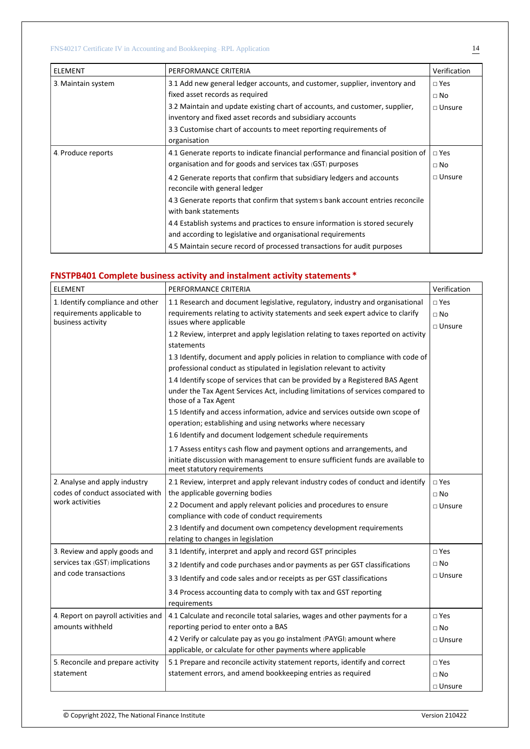| <b>ELEMENT</b>     | PERFORMANCE CRITERIA                                                                                                                         | Verification  |
|--------------------|----------------------------------------------------------------------------------------------------------------------------------------------|---------------|
| 3. Maintain system | 3.1 Add new general ledger accounts, and customer, supplier, inventory and                                                                   | $\square$ Yes |
|                    | fixed asset records as required                                                                                                              | $\Box$ No     |
|                    | 3.2 Maintain and update existing chart of accounts, and customer, supplier,<br>inventory and fixed asset records and subsidiary accounts     | $\Box$ Unsure |
|                    | 3.3 Customise chart of accounts to meet reporting requirements of<br>organisation                                                            |               |
| 4. Produce reports | 4.1 Generate reports to indicate financial performance and financial position of                                                             | $\square$ Yes |
|                    | organisation and for goods and services tax (GST) purposes                                                                                   | $\Box$ No     |
|                    | 4.2 Generate reports that confirm that subsidiary ledgers and accounts<br>reconcile with general ledger                                      | $\Box$ Unsure |
|                    | 4.3 Generate reports that confirm that system's bank account entries reconcile<br>with bank statements                                       |               |
|                    | 4.4 Establish systems and practices to ensure information is stored securely<br>and according to legislative and organisational requirements |               |
|                    | 4.5 Maintain secure record of processed transactions for audit purposes                                                                      |               |

# **FNSTPB401 Complete business activity and instalment activity statements \***

| <b>ELEMENT</b>                      | PERFORMANCE CRITERIA                                                                                           | Verification  |
|-------------------------------------|----------------------------------------------------------------------------------------------------------------|---------------|
| 1. Identify compliance and other    | 1.1 Research and document legislative, regulatory, industry and organisational                                 | $\square$ Yes |
| requirements applicable to          | requirements relating to activity statements and seek expert advice to clarify                                 | $\Box$ No     |
| business activity                   | issues where applicable                                                                                        | $\Box$ Unsure |
|                                     | 1.2 Review, interpret and apply legislation relating to taxes reported on activity<br>statements               |               |
|                                     | 1.3 Identify, document and apply policies in relation to compliance with code of                               |               |
|                                     | professional conduct as stipulated in legislation relevant to activity                                         |               |
|                                     | 1.4 Identify scope of services that can be provided by a Registered BAS Agent                                  |               |
|                                     | under the Tax Agent Services Act, including limitations of services compared to<br>those of a Tax Agent        |               |
|                                     | 1.5 Identify and access information, advice and services outside own scope of                                  |               |
|                                     | operation; establishing and using networks where necessary                                                     |               |
|                                     | 1.6 Identify and document lodgement schedule requirements                                                      |               |
|                                     | 1.7 Assess entity's cash flow and payment options and arrangements, and                                        |               |
|                                     | initiate discussion with management to ensure sufficient funds are available to<br>meet statutory requirements |               |
| 2. Analyse and apply industry       | 2.1 Review, interpret and apply relevant industry codes of conduct and identify                                | $\square$ Yes |
| codes of conduct associated with    | the applicable governing bodies                                                                                | $\sqcap$ No   |
| work activities                     | 2.2 Document and apply relevant policies and procedures to ensure                                              | $\Box$ Unsure |
|                                     | compliance with code of conduct requirements                                                                   |               |
|                                     | 2.3 Identify and document own competency development requirements                                              |               |
|                                     | relating to changes in legislation                                                                             |               |
| 3. Review and apply goods and       | 3.1 Identify, interpret and apply and record GST principles                                                    | $\square$ Yes |
| services tax (GST) implications     | 3.2 Identify and code purchases and/or payments as per GST classifications                                     | $\Box$ No     |
| and code transactions               | 3.3 Identify and code sales and/or receipts as per GST classifications                                         | $\Box$ Unsure |
|                                     | 3.4 Process accounting data to comply with tax and GST reporting<br>requirements                               |               |
| 4. Report on payroll activities and | 4.1 Calculate and reconcile total salaries, wages and other payments for a                                     | $\sqcap$ Yes  |
| amounts withheld                    | reporting period to enter onto a BAS                                                                           | $\Box$ No     |
|                                     | 4.2 Verify or calculate pay as you go instalment (PAYGI) amount where                                          | $\Box$ Unsure |
|                                     | applicable, or calculate for other payments where applicable                                                   |               |
| 5. Reconcile and prepare activity   | 5.1 Prepare and reconcile activity statement reports, identify and correct                                     | $\sqcap$ Yes  |
| statement                           | statement errors, and amend bookkeeping entries as required                                                    | $\Box$ No     |
|                                     |                                                                                                                | $\Box$ Unsure |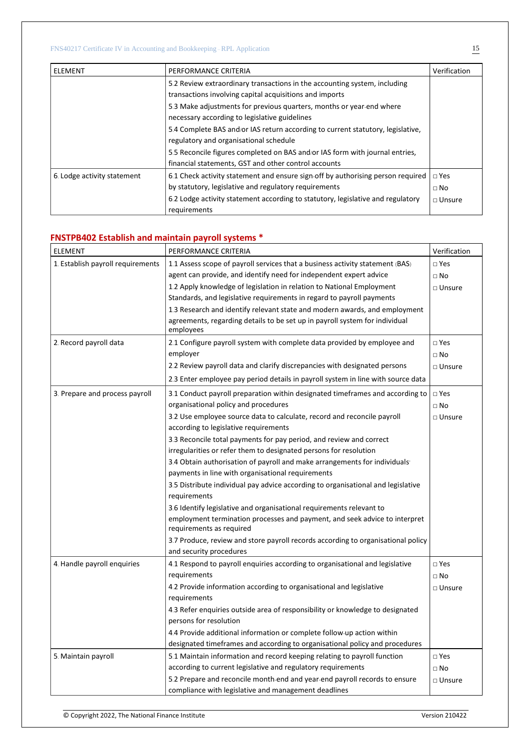| ELEMENT                     | PERFORMANCE CRITERIA                                                                                                                     | Verification            |
|-----------------------------|------------------------------------------------------------------------------------------------------------------------------------------|-------------------------|
|                             | 5.2 Review extraordinary transactions in the accounting system, including<br>transactions involving capital acquisitions and imports     |                         |
|                             | 5.3 Make adjustments for previous quarters, months or year-end where<br>necessary according to legislative guidelines                    |                         |
|                             | 5.4 Complete BAS and/or IAS return according to current statutory, legislative,<br>regulatory and organisational schedule                |                         |
|                             | 5.5 Reconcile figures completed on BAS and/or IAS form with journal entries,<br>financial statements, GST and other control accounts     |                         |
| 6. Lodge activity statement | 6.1 Check activity statement and ensure sign-off by authorising person required<br>by statutory, legislative and regulatory requirements | $\Box$ Yes<br>$\Box$ No |
|                             | 6.2 Lodge activity statement according to statutory, legislative and regulatory<br>requirements                                          | $\sqcap$ Unsure         |

#### **FNSTPB402 Establish and maintain payroll systems \***

| ELEMENT                           | PERFORMANCE CRITERIA                                                                                        | Verification  |
|-----------------------------------|-------------------------------------------------------------------------------------------------------------|---------------|
| 1. Establish payroll requirements | 1.1 Assess scope of payroll services that a business activity statement (BAS)                               | $\square$ Yes |
|                                   | agent can provide, and identify need for independent expert advice                                          | $\square$ No  |
|                                   | 1.2 Apply knowledge of legislation in relation to National Employment                                       | □ Unsure      |
|                                   | Standards, and legislative requirements in regard to payroll payments                                       |               |
|                                   | 1.3 Research and identify relevant state and modern awards, and employment                                  |               |
|                                   | agreements, regarding details to be set up in payroll system for individual<br>employees                    |               |
| 2. Record payroll data            | 2.1 Configure payroll system with complete data provided by employee and                                    | $\square$ Yes |
|                                   | employer                                                                                                    | $\Box$ No     |
|                                   | 2.2 Review payroll data and clarify discrepancies with designated persons                                   | $\Box$ Unsure |
|                                   | 2.3 Enter employee pay period details in payroll system in line with source data                            |               |
| 3. Prepare and process payroll    | 3.1 Conduct payroll preparation within designated timeframes and according to                               | $\square$ Yes |
|                                   | organisational policy and procedures                                                                        | $\square$ No  |
|                                   | 3.2 Use employee source data to calculate, record and reconcile payroll                                     | $\Box$ Unsure |
|                                   | according to legislative requirements                                                                       |               |
|                                   | 3.3 Reconcile total payments for pay period, and review and correct                                         |               |
|                                   | irregularities or refer them to designated persons for resolution                                           |               |
|                                   | 3.4 Obtain authorisation of payroll and make arrangements for individuals                                   |               |
|                                   | payments in line with organisational requirements                                                           |               |
|                                   | 3.5 Distribute individual pay advice according to organisational and legislative<br>requirements            |               |
|                                   | 3.6 Identify legislative and organisational requirements relevant to                                        |               |
|                                   | employment termination processes and payment, and seek advice to interpret<br>requirements as required      |               |
|                                   | 3.7 Produce, review and store payroll records according to organisational policy<br>and security procedures |               |
| 4. Handle payroll enquiries       | 4.1 Respond to payroll enquiries according to organisational and legislative                                | $\square$ Yes |
|                                   | requirements                                                                                                | $\Box$ No     |
|                                   | 4.2 Provide information according to organisational and legislative                                         | $\Box$ Unsure |
|                                   | requirements                                                                                                |               |
|                                   | 4.3 Refer enguiries outside area of responsibility or knowledge to designated                               |               |
|                                   | persons for resolution                                                                                      |               |
|                                   | 4.4 Provide additional information or complete follow-up action within                                      |               |
|                                   | designated timeframes and according to organisational policy and procedures                                 |               |
| 5. Maintain payroll               | 5.1 Maintain information and record keeping relating to payroll function                                    | $\square$ Yes |
|                                   | according to current legislative and regulatory requirements                                                | $\square$ No  |
|                                   | 5.2 Prepare and reconcile month-end and year-end payroll records to ensure                                  | $\Box$ Unsure |
|                                   | compliance with legislative and management deadlines                                                        |               |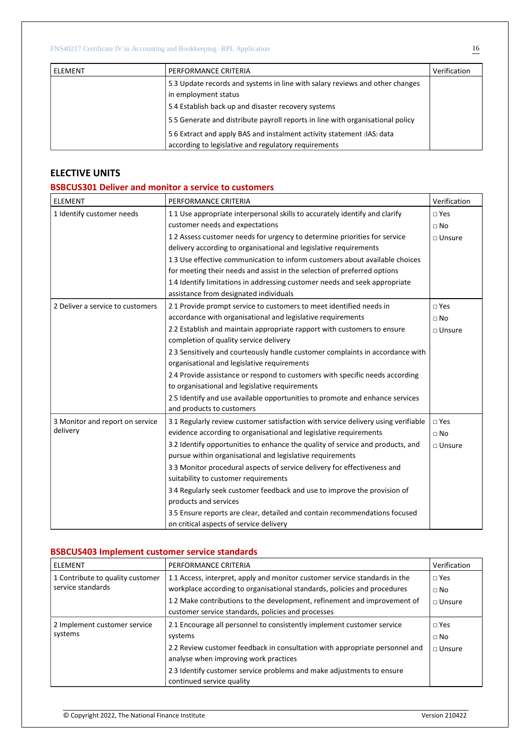| <b>ELEMENT</b> | PERFORMANCE CRITERIA                                                           | Verification |
|----------------|--------------------------------------------------------------------------------|--------------|
|                | 5.3 Update records and systems in line with salary reviews and other changes   |              |
|                | in employment status                                                           |              |
|                | 5.4 Establish back-up and disaster recovery systems                            |              |
|                | 5.5 Generate and distribute payroll reports in line with organisational policy |              |
|                | 5.6 Extract and apply BAS and instalment activity statement (IAS) data         |              |
|                | according to legislative and regulatory requirements                           |              |

# **ELECTIVE UNITS**

### **BSBCUS301 Deliver and monitor a service to customers**

| <b>ELEMENT</b>                   | PERFORMANCE CRITERIA                                                                                                 | Verification     |
|----------------------------------|----------------------------------------------------------------------------------------------------------------------|------------------|
| 1 Identify customer needs        | 1.1 Use appropriate interpersonal skills to accurately identify and clarify<br>customer needs and expectations       | $\square$ Yes    |
|                                  | 1.2 Assess customer needs for urgency to determine priorities for service                                            | $\Box$ No        |
|                                  | delivery according to organisational and legislative requirements                                                    | $\square$ Unsure |
|                                  | 1.3 Use effective communication to inform customers about available choices                                          |                  |
|                                  | for meeting their needs and assist in the selection of preferred options                                             |                  |
|                                  | 1.4 Identify limitations in addressing customer needs and seek appropriate<br>assistance from designated individuals |                  |
| 2 Deliver a service to customers | 2.1 Provide prompt service to customers to meet identified needs in                                                  | $\square$ Yes    |
|                                  | accordance with organisational and legislative requirements                                                          | $\Box$ No        |
|                                  | 2.2 Establish and maintain appropriate rapport with customers to ensure                                              | $\Box$ Unsure    |
|                                  | completion of quality service delivery                                                                               |                  |
|                                  | 2.3 Sensitively and courteously handle customer complaints in accordance with                                        |                  |
|                                  | organisational and legislative requirements                                                                          |                  |
|                                  | 2.4 Provide assistance or respond to customers with specific needs according                                         |                  |
|                                  | to organisational and legislative requirements                                                                       |                  |
|                                  | 2.5 Identify and use available opportunities to promote and enhance services<br>and products to customers            |                  |
| 3 Monitor and report on service  | 3.1 Regularly review customer satisfaction with service delivery using verifiable                                    | $\sqcap$ Yes     |
| delivery                         | evidence according to organisational and legislative requirements                                                    | $\Box$ No        |
|                                  | 3.2 Identify opportunities to enhance the quality of service and products, and                                       | $\Box$ Unsure    |
|                                  | pursue within organisational and legislative requirements                                                            |                  |
|                                  | 3.3 Monitor procedural aspects of service delivery for effectiveness and                                             |                  |
|                                  | suitability to customer requirements                                                                                 |                  |
|                                  | 3.4 Regularly seek customer feedback and use to improve the provision of                                             |                  |
|                                  | products and services                                                                                                |                  |
|                                  | 3.5 Ensure reports are clear, detailed and contain recommendations focused                                           |                  |
|                                  | on critical aspects of service delivery                                                                              |                  |

# **BSBCUS403 Implement customer service standards**

| <b>ELEMENT</b>                   | PERFORMANCE CRITERIA                                                        | Verification  |
|----------------------------------|-----------------------------------------------------------------------------|---------------|
| 1 Contribute to quality customer | 1.1 Access, interpret, apply and monitor customer service standards in the  | $\Box$ Yes    |
| service standards                | workplace according to organisational standards, policies and procedures    | $\sqcap$ No   |
|                                  | 1.2 Make contributions to the development, refinement and improvement of    | $\Box$ Unsure |
|                                  | customer service standards, policies and processes                          |               |
| 2 Implement customer service     | 2.1 Encourage all personnel to consistently implement customer service      | $\Box$ Yes    |
| systems                          | systems                                                                     | $\Box$ No     |
|                                  | 2.2 Review customer feedback in consultation with appropriate personnel and | $\Box$ Unsure |
|                                  | analyse when improving work practices                                       |               |
|                                  | 2.3 Identify customer service problems and make adjustments to ensure       |               |
|                                  | continued service quality                                                   |               |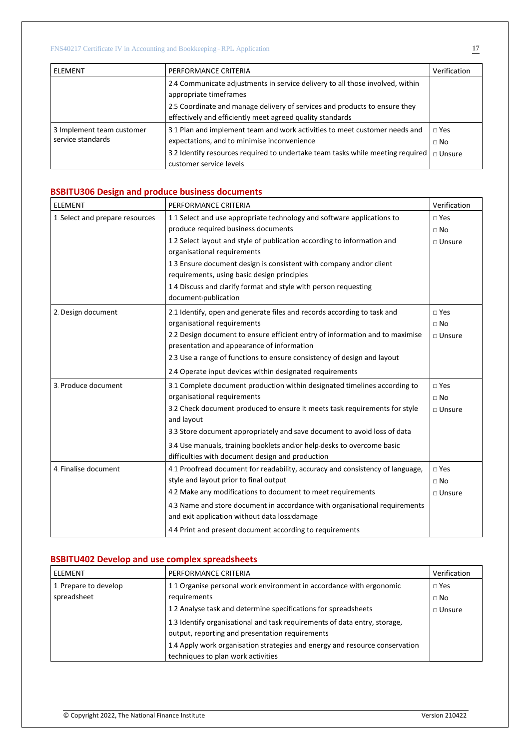| ELEMENT                                        | PERFORMANCE CRITERIA                                                                                                                    | Verification            |
|------------------------------------------------|-----------------------------------------------------------------------------------------------------------------------------------------|-------------------------|
|                                                | 2.4 Communicate adjustments in service delivery to all those involved, within<br>appropriate timeframes                                 |                         |
|                                                | 2.5 Coordinate and manage delivery of services and products to ensure they<br>effectively and efficiently meet agreed quality standards |                         |
| 3 Implement team customer<br>service standards | 3.1 Plan and implement team and work activities to meet customer needs and<br>expectations, and to minimise inconvenience               | $\Box$ Yes<br>$\Box$ No |
|                                                | 3.2 Identify resources required to undertake team tasks while meeting required<br>customer service levels                               | $\Box$ Unsure           |

# **BSBITU306 Design and produce business documents**

| <b>ELEMENT</b>                  | PERFORMANCE CRITERIA                                                                                                        | Verification     |
|---------------------------------|-----------------------------------------------------------------------------------------------------------------------------|------------------|
| 1. Select and prepare resources | 1.1 Select and use appropriate technology and software applications to                                                      | $\square$ Yes    |
|                                 | produce required business documents                                                                                         | $\Box$ No        |
|                                 | 1.2 Select layout and style of publication according to information and<br>organisational requirements                      | $\square$ Unsure |
|                                 | 1.3 Ensure document design is consistent with company and/or client                                                         |                  |
|                                 | requirements, using basic design principles                                                                                 |                  |
|                                 | 1.4 Discuss and clarify format and style with person requesting                                                             |                  |
|                                 | document/publication                                                                                                        |                  |
| 2. Design document              | 2.1 Identify, open and generate files and records according to task and                                                     | $\square$ Yes    |
|                                 | organisational requirements                                                                                                 | $\Box$ No        |
|                                 | 2.2 Design document to ensure efficient entry of information and to maximise                                                | $\square$ Unsure |
|                                 | presentation and appearance of information                                                                                  |                  |
|                                 | 2.3 Use a range of functions to ensure consistency of design and layout                                                     |                  |
|                                 | 2.4 Operate input devices within designated requirements                                                                    |                  |
| 3. Produce document             | 3.1 Complete document production within designated timelines according to                                                   | $\square$ Yes    |
|                                 | organisational requirements                                                                                                 | $\Box$ No        |
|                                 | 3.2 Check document produced to ensure it meets task requirements for style<br>and layout                                    | $\Box$ Unsure    |
|                                 | 3.3 Store document appropriately and save document to avoid loss of data                                                    |                  |
|                                 | 3.4 Use manuals, training booklets and/or help-desks to overcome basic<br>difficulties with document design and production  |                  |
| 4. Finalise document            | 4.1 Proofread document for readability, accuracy and consistency of language,                                               | $\square$ Yes    |
|                                 | style and layout prior to final output                                                                                      | $\Box$ No        |
|                                 | 4.2 Make any modifications to document to meet requirements                                                                 | $\square$ Unsure |
|                                 | 4.3 Name and store document in accordance with organisational requirements<br>and exit application without data loss/damage |                  |
|                                 |                                                                                                                             |                  |
|                                 | 4.4 Print and present document according to requirements                                                                    |                  |

# **BSBITU402 Develop and use complex spreadsheets**

| ELEMENT               | PERFORMANCE CRITERIA                                                        | Verification  |
|-----------------------|-----------------------------------------------------------------------------|---------------|
| 1. Prepare to develop | 1.1 Organise personal work environment in accordance with ergonomic         | $\Box$ Yes    |
| spreadsheet           | requirements                                                                | $\Box$ No     |
|                       | 1.2 Analyse task and determine specifications for spreadsheets              | $\Box$ Unsure |
|                       | 1.3 Identify organisational and task requirements of data entry, storage,   |               |
|                       | output, reporting and presentation requirements                             |               |
|                       | 1.4 Apply work organisation strategies and energy and resource conservation |               |
|                       | techniques to plan work activities                                          |               |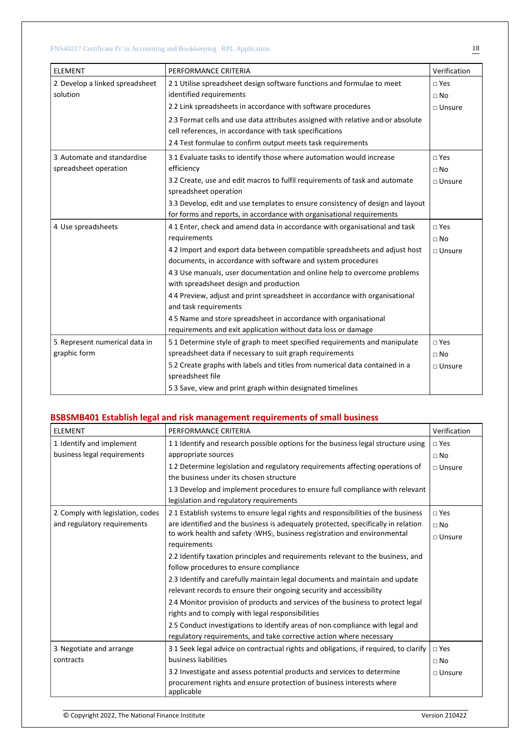| <b>ELEMENT</b>                  | PERFORMANCE CRITERIA                                                                                 | Verification     |
|---------------------------------|------------------------------------------------------------------------------------------------------|------------------|
| 2. Develop a linked spreadsheet | 2.1 Utilise spreadsheet design software functions and formulae to meet                               | $\neg$ Yes       |
| solution                        | identified requirements                                                                              | $\Box$ No        |
|                                 | 2.2 Link spreadsheets in accordance with software procedures                                         | $\square$ Unsure |
|                                 | 2.3 Format cells and use data attributes assigned with relative and/or absolute                      |                  |
|                                 | cell references, in accordance with task specifications                                              |                  |
|                                 | 2.4 Test formulae to confirm output meets task requirements                                          |                  |
| 3. Automate and standardise     | 3.1 Evaluate tasks to identify those where automation would increase                                 | $\square$ Yes    |
| spreadsheet operation           | efficiency                                                                                           | $\Box$ No        |
|                                 | 3.2 Create, use and edit macros to fulfil requirements of task and automate<br>spreadsheet operation | $\Box$ Unsure    |
|                                 | 3.3 Develop, edit and use templates to ensure consistency of design and layout                       |                  |
|                                 | for forms and reports, in accordance with organisational requirements                                |                  |
| 4. Use spreadsheets             | 4.1 Enter, check and amend data in accordance with organisational and task                           | $\square$ Yes    |
|                                 | requirements                                                                                         | $\Box$ No        |
|                                 | 4.2 Import and export data between compatible spreadsheets and adjust host                           | $\square$ Unsure |
|                                 | documents, in accordance with software and system procedures                                         |                  |
|                                 | 4.3 Use manuals, user documentation and online help to overcome problems                             |                  |
|                                 | with spreadsheet design and production                                                               |                  |
|                                 | 4.4 Preview, adjust and print spreadsheet in accordance with organisational                          |                  |
|                                 | and task requirements                                                                                |                  |
|                                 | 4.5 Name and store spreadsheet in accordance with organisational                                     |                  |
|                                 | requirements and exit application without data loss or damage                                        |                  |
| 5. Represent numerical data in  | 5.1 Determine style of graph to meet specified requirements and manipulate                           | $\neg$ Yes       |
| graphic form                    | spreadsheet data if necessary to suit graph requirements                                             | $\Box$ No        |
|                                 | 5.2 Create graphs with labels and titles from numerical data contained in a                          | $\square$ Unsure |
|                                 | spreadsheet file                                                                                     |                  |
|                                 | 5.3 Save, view and print graph within designated timelines                                           |                  |

# **BSBSMB401 Establish legal and risk management requirements of small business**

| <b>ELEMENT</b>                    | PERFORMANCE CRITERIA                                                                 | Verification    |
|-----------------------------------|--------------------------------------------------------------------------------------|-----------------|
| 1. Identify and implement         | 1.1 Identify and research possible options for the business legal structure using    | $\square$ Yes   |
| business legal requirements       | appropriate sources                                                                  | $\Box$ No       |
|                                   | 1.2 Determine legislation and regulatory requirements affecting operations of        | $\sqcap$ Unsure |
|                                   | the business under its chosen structure                                              |                 |
|                                   | 1.3 Develop and implement procedures to ensure full compliance with relevant         |                 |
|                                   | legislation and regulatory requirements                                              |                 |
| 2. Comply with legislation, codes | 2.1 Establish systems to ensure legal rights and responsibilities of the business    | $\sqcap$ Yes    |
| and regulatory requirements       | are identified and the business is adequately protected, specifically in relation    | $\Box$ No       |
|                                   | to work health and safety (WHS), business registration and environmental             | $\Box$ Unsure   |
|                                   | requirements                                                                         |                 |
|                                   | 2.2 Identify taxation principles and requirements relevant to the business, and      |                 |
|                                   | follow procedures to ensure compliance                                               |                 |
|                                   | 2.3 Identify and carefully maintain legal documents and maintain and update          |                 |
|                                   | relevant records to ensure their ongoing security and accessibility                  |                 |
|                                   | 2.4 Monitor provision of products and services of the business to protect legal      |                 |
|                                   | rights and to comply with legal responsibilities                                     |                 |
|                                   | 2.5 Conduct investigations to identify areas of non-compliance with legal and        |                 |
|                                   | regulatory requirements, and take corrective action where necessary                  |                 |
| 3. Negotiate and arrange          | 3.1 Seek legal advice on contractual rights and obligations, if required, to clarify | $\square$ Yes   |
| contracts                         | business liabilities                                                                 | $\sqcap$ No     |
|                                   | 3.2 Investigate and assess potential products and services to determine              | $\Box$ Unsure   |
|                                   | procurement rights and ensure protection of business interests where<br>applicable   |                 |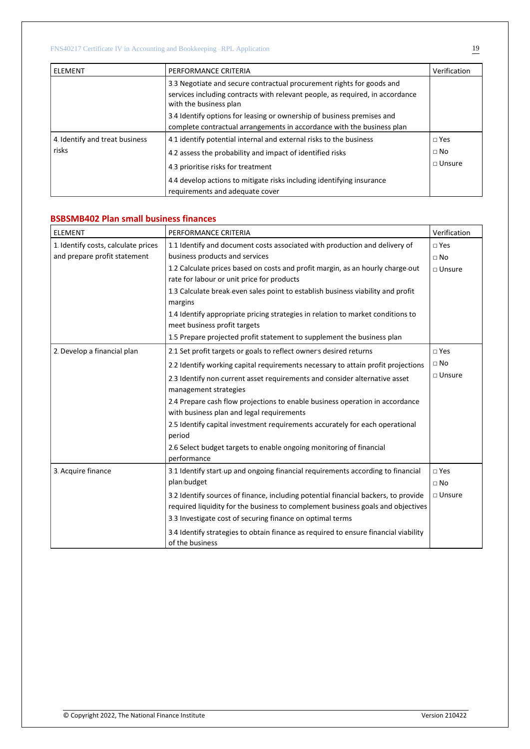| l ELEMENT                      | PERFORMANCE CRITERIA                                                                                                                                                             | Verification    |
|--------------------------------|----------------------------------------------------------------------------------------------------------------------------------------------------------------------------------|-----------------|
|                                | 3.3 Negotiate and secure contractual procurement rights for goods and<br>services including contracts with relevant people, as required, in accordance<br>with the business plan |                 |
|                                | 3.4 Identify options for leasing or ownership of business premises and<br>complete contractual arrangements in accordance with the business plan                                 |                 |
| 4. Identify and treat business | 4.1 identify potential internal and external risks to the business                                                                                                               | $\Box$ Yes      |
| risks                          | 4.2 assess the probability and impact of identified risks                                                                                                                        | $\Box$ No       |
|                                | 4.3 prioritise risks for treatment                                                                                                                                               | $\sqcap$ Unsure |
|                                | 4.4 develop actions to mitigate risks including identifying insurance<br>requirements and adequate cover                                                                         |                 |

### **BSBSMB402 Plan small business finances**

| <b>ELEMENT</b>                      | PERFORMANCE CRITERIA                                                                                            | Verification  |
|-------------------------------------|-----------------------------------------------------------------------------------------------------------------|---------------|
| 1. Identify costs, calculate prices | 1.1 Identify and document costs associated with production and delivery of                                      | $\sqcap$ Yes  |
| and prepare profit statement        | business products and services                                                                                  | $\Box$ No     |
|                                     | 1.2 Calculate prices based on costs and profit margin, as an hourly charge-out                                  | $\Box$ Unsure |
|                                     | rate for labour or unit price for products                                                                      |               |
|                                     | 1.3 Calculate break-even sales point to establish business viability and profit<br>margins                      |               |
|                                     | 1.4 Identify appropriate pricing strategies in relation to market conditions to<br>meet business profit targets |               |
|                                     | 1.5 Prepare projected profit statement to supplement the business plan                                          |               |
| 2. Develop a financial plan         | 2.1 Set profit targets or goals to reflect owner's desired returns                                              | $\square$ Yes |
|                                     | 2.2 Identify working capital requirements necessary to attain profit projections                                | $\Box$ No     |
|                                     | 2.3 Identify non-current asset requirements and consider alternative asset<br>management strategies             | $\Box$ Unsure |
|                                     | 2.4 Prepare cash flow projections to enable business operation in accordance                                    |               |
|                                     | with business plan and legal requirements                                                                       |               |
|                                     | 2.5 Identify capital investment requirements accurately for each operational<br>period                          |               |
|                                     | 2.6 Select budget targets to enable ongoing monitoring of financial<br>performance                              |               |
| 3. Acquire finance                  | 3.1 Identify start-up and ongoing financial requirements according to financial                                 | $\square$ Yes |
|                                     | plan/budget                                                                                                     | $\Box$ No     |
|                                     | 3.2 Identify sources of finance, including potential financial backers, to provide                              | $\Box$ Unsure |
|                                     | required liquidity for the business to complement business goals and objectives                                 |               |
|                                     | 3.3 Investigate cost of securing finance on optimal terms                                                       |               |
|                                     | 3.4 Identify strategies to obtain finance as required to ensure financial viability<br>of the business          |               |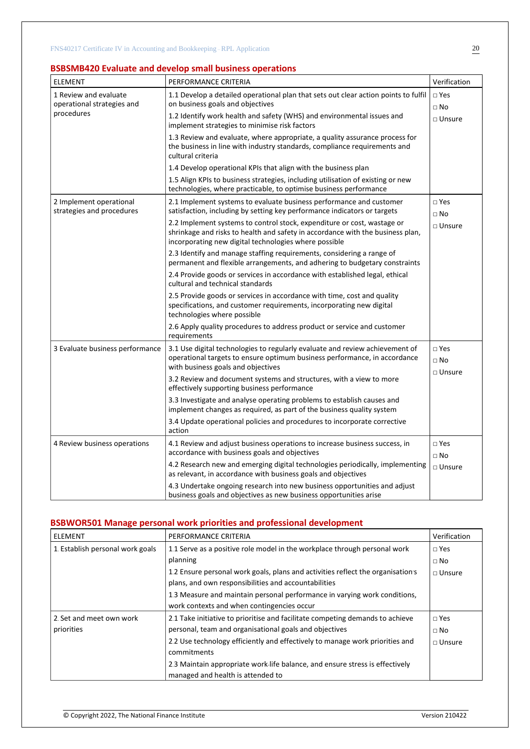# **BSBSMB420 Evaluate and develop small business operations**

| <b>ELEMENT</b>                                       | PERFORMANCE CRITERIA                                                                                                                                                                                               | Verification                  |
|------------------------------------------------------|--------------------------------------------------------------------------------------------------------------------------------------------------------------------------------------------------------------------|-------------------------------|
| 1 Review and evaluate<br>operational strategies and  | 1.1 Develop a detailed operational plan that sets out clear action points to fulfil<br>on business goals and objectives                                                                                            | $\square$ Yes<br>$\Box$ No    |
| procedures                                           | 1.2 Identify work health and safety (WHS) and environmental issues and<br>implement strategies to minimise risk factors                                                                                            | $\Box$ Unsure                 |
|                                                      | 1.3 Review and evaluate, where appropriate, a quality assurance process for<br>the business in line with industry standards, compliance requirements and<br>cultural criteria                                      |                               |
|                                                      | 1.4 Develop operational KPIs that align with the business plan                                                                                                                                                     |                               |
|                                                      | 1.5 Align KPIs to business strategies, including utilisation of existing or new<br>technologies, where practicable, to optimise business performance                                                               |                               |
| 2 Implement operational<br>strategies and procedures | 2.1 Implement systems to evaluate business performance and customer<br>satisfaction, including by setting key performance indicators or targets                                                                    | $\square$ Yes<br>$\square$ No |
|                                                      | 2.2 Implement systems to control stock, expenditure or cost, wastage or<br>shrinkage and risks to health and safety in accordance with the business plan,<br>incorporating new digital technologies where possible | $\Box$ Unsure                 |
|                                                      | 2.3 Identify and manage staffing requirements, considering a range of<br>permanent and flexible arrangements, and adhering to budgetary constraints                                                                |                               |
|                                                      | 2.4 Provide goods or services in accordance with established legal, ethical<br>cultural and technical standards                                                                                                    |                               |
|                                                      | 2.5 Provide goods or services in accordance with time, cost and quality<br>specifications, and customer requirements, incorporating new digital<br>technologies where possible                                     |                               |
|                                                      | 2.6 Apply quality procedures to address product or service and customer<br>requirements                                                                                                                            |                               |
| 3 Evaluate business performance                      | 3.1 Use digital technologies to regularly evaluate and review achievement of<br>operational targets to ensure optimum business performance, in accordance<br>with business goals and objectives                    | □ Yes<br>$\Box$ No            |
|                                                      | 3.2 Review and document systems and structures, with a view to more<br>effectively supporting business performance                                                                                                 | $\Box$ Unsure                 |
|                                                      | 3.3 Investigate and analyse operating problems to establish causes and<br>implement changes as required, as part of the business quality system                                                                    |                               |
|                                                      | 3.4 Update operational policies and procedures to incorporate corrective<br>action                                                                                                                                 |                               |
| 4 Review business operations                         | 4.1 Review and adjust business operations to increase business success, in<br>accordance with business goals and objectives                                                                                        | $\square$ Yes<br>$\Box$ No    |
|                                                      | 4.2 Research new and emerging digital technologies periodically, implementing<br>as relevant, in accordance with business goals and objectives                                                                     | □ Unsure                      |
|                                                      | 4.3 Undertake ongoing research into new business opportunities and adjust<br>business goals and objectives as new business opportunities arise                                                                     |                               |

# **BSBWOR501 Manage personal work priorities and professional development**

| ELEMENT                          | PERFORMANCE CRITERIA                                                            | Verification    |
|----------------------------------|---------------------------------------------------------------------------------|-----------------|
| 1. Establish personal work goals | 1.1 Serve as a positive role model in the workplace through personal work       | $\sqcap$ Yes    |
|                                  | planning                                                                        | $\Box$ No       |
|                                  | 1.2 Ensure personal work goals, plans and activities reflect the organisation's | $\sqcap$ Unsure |
|                                  | plans, and own responsibilities and accountabilities                            |                 |
|                                  | 1.3 Measure and maintain personal performance in varying work conditions,       |                 |
|                                  | work contexts and when contingencies occur                                      |                 |
| 2. Set and meet own work         | 2.1 Take initiative to prioritise and facilitate competing demands to achieve   | $\Box$ Yes      |
| priorities                       | personal, team and organisational goals and objectives                          | $\sqcap$ No     |
|                                  | 2.2 Use technology efficiently and effectively to manage work priorities and    | $\sqcap$ Unsure |
|                                  | commitments                                                                     |                 |
|                                  | 2.3 Maintain appropriate work-life balance, and ensure stress is effectively    |                 |
|                                  | managed and health is attended to                                               |                 |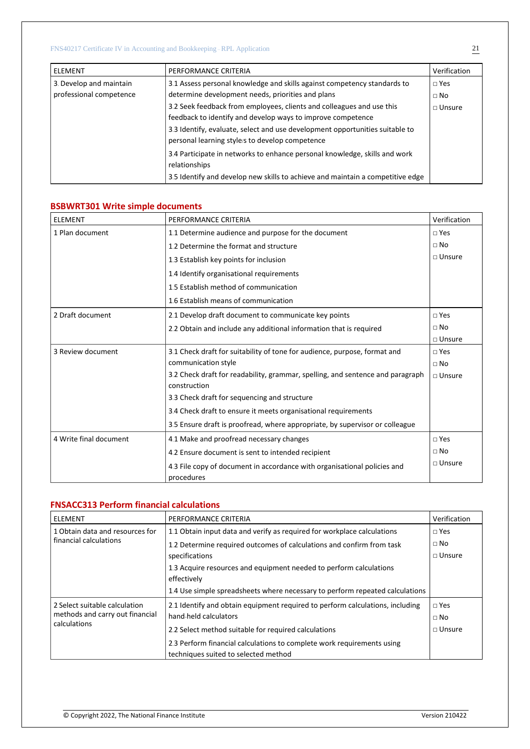| <b>ELEMENT</b>          | PERFORMANCE CRITERIA                                                                                                                                                                                                                                                    | Verification  |
|-------------------------|-------------------------------------------------------------------------------------------------------------------------------------------------------------------------------------------------------------------------------------------------------------------------|---------------|
| 3. Develop and maintain | 3.1 Assess personal knowledge and skills against competency standards to                                                                                                                                                                                                | $\Box$ Yes    |
| professional competence | determine development needs, priorities and plans                                                                                                                                                                                                                       | $\Box$ No     |
|                         | 3.2 Seek feedback from employees, clients and colleagues and use this<br>feedback to identify and develop ways to improve competence<br>3.3 Identify, evaluate, select and use development opportunities suitable to<br>personal learning style/s to develop competence | $\Box$ Unsure |
|                         | 3.4 Participate in networks to enhance personal knowledge, skills and work<br>relationships<br>3.5 Identify and develop new skills to achieve and maintain a competitive edge                                                                                           |               |

# **BSBWRT301 Write simple documents**

| <b>ELEMENT</b>         | PERFORMANCE CRITERIA                                                                           | Verification  |
|------------------------|------------------------------------------------------------------------------------------------|---------------|
| 1 Plan document        | 1.1 Determine audience and purpose for the document                                            | $\Box$ Yes    |
|                        | 1.2 Determine the format and structure                                                         | $\Box$ No     |
|                        | 1.3 Establish key points for inclusion                                                         | $\Box$ Unsure |
|                        | 1.4 Identify organisational requirements                                                       |               |
|                        | 1.5 Establish method of communication                                                          |               |
|                        | 1.6 Establish means of communication                                                           |               |
| 2 Draft document       | 2.1 Develop draft document to communicate key points                                           | $\sqcap$ Yes  |
|                        | 2.2 Obtain and include any additional information that is required                             | $\Box$ No     |
|                        |                                                                                                | $\Box$ Unsure |
| 3 Review document      | 3.1 Check draft for suitability of tone for audience, purpose, format and                      | $\sqcap$ Yes  |
|                        | communication style                                                                            | $\sqcap$ No   |
|                        | 3.2 Check draft for readability, grammar, spelling, and sentence and paragraph<br>construction | $\Box$ Unsure |
|                        | 3.3 Check draft for sequencing and structure                                                   |               |
|                        | 3.4 Check draft to ensure it meets organisational requirements                                 |               |
|                        | 3.5 Ensure draft is proofread, where appropriate, by supervisor or colleague                   |               |
| 4 Write final document | 4.1 Make and proofread necessary changes                                                       | $\sqcap$ Yes  |
|                        | 4.2 Ensure document is sent to intended recipient                                              | $\Box$ No     |
|                        | 4.3 File copy of document in accordance with organisational policies and<br>procedures         | $\Box$ Unsure |

# **FNSACC313 Perform financial calculations**

| <b>ELEMENT</b>                  | PERFORMANCE CRITERIA                                                              | Verification    |
|---------------------------------|-----------------------------------------------------------------------------------|-----------------|
| 1 Obtain data and resources for | 1.1 Obtain input data and verify as required for workplace calculations           | $\Box$ Yes      |
| financial calculations          | 1.2 Determine required outcomes of calculations and confirm from task             | $\Box$ No       |
|                                 | specifications                                                                    | $\sqcap$ Unsure |
|                                 | 1.3 Acquire resources and equipment needed to perform calculations<br>effectively |                 |
|                                 | 1.4 Use simple spreadsheets where necessary to perform repeated calculations      |                 |
| 2 Select suitable calculation   | 2.1 Identify and obtain equipment required to perform calculations, including     | $\Box$ Yes      |
| methods and carry out financial | hand-held calculators                                                             | $\Box$ No       |
| calculations                    | 2.2 Select method suitable for required calculations                              | $\sqcap$ Unsure |
|                                 | 2.3 Perform financial calculations to complete work requirements using            |                 |
|                                 | techniques suited to selected method                                              |                 |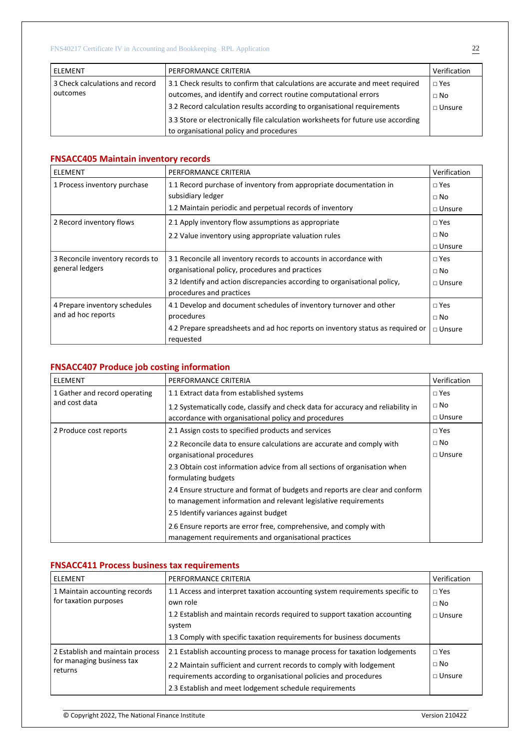| <b>ELEMENT</b>                  | PERFORMANCE CRITERIA                                                             | Verification    |
|---------------------------------|----------------------------------------------------------------------------------|-----------------|
| 3 Check calculations and record | 3.1 Check results to confirm that calculations are accurate and meet required    | $\Box$ Yes      |
| outcomes                        | outcomes, and identify and correct routine computational errors                  | $\Box$ No       |
|                                 | 3.2 Record calculation results according to organisational requirements          | $\sqcap$ Unsure |
|                                 | 3.3 Store or electronically file calculation worksheets for future use according |                 |
|                                 | to organisational policy and procedures                                          |                 |

### **FNSACC405 Maintain inventory records**

| <b>ELEMENT</b>                   | PERFORMANCE CRITERIA                                                           | Verification  |
|----------------------------------|--------------------------------------------------------------------------------|---------------|
| 1 Process inventory purchase     | 1.1 Record purchase of inventory from appropriate documentation in             |               |
|                                  | subsidiary ledger                                                              | $\Box$ No     |
|                                  | 1.2 Maintain periodic and perpetual records of inventory                       | $\Box$ Unsure |
| 2 Record inventory flows         | 2.1 Apply inventory flow assumptions as appropriate                            |               |
|                                  | 2.2 Value inventory using appropriate valuation rules                          | $\Box$ No     |
|                                  |                                                                                | $\Box$ Unsure |
| 3 Reconcile inventory records to | 3.1 Reconcile all inventory records to accounts in accordance with             | $\Box$ Yes    |
| general ledgers                  | organisational policy, procedures and practices                                | $\Box$ No     |
|                                  | 3.2 Identify and action discrepancies according to organisational policy,      | $\Box$ Unsure |
|                                  | procedures and practices                                                       |               |
| 4 Prepare inventory schedules    | 4.1 Develop and document schedules of inventory turnover and other             | $\Box$ Yes    |
| and ad hoc reports               | procedures                                                                     | $\Box$ No     |
|                                  | 4.2 Prepare spreadsheets and ad hoc reports on inventory status as required or | $\Box$ Unsure |
|                                  | requested                                                                      |               |

# **FNSACC407 Produce job costing information**

| <b>ELEMENT</b>                | PERFORMANCE CRITERIA                                                             | Verification  |
|-------------------------------|----------------------------------------------------------------------------------|---------------|
| 1 Gather and record operating | 1.1 Extract data from established systems                                        | $\Box$ Yes    |
| and cost data                 | 1.2 Systematically code, classify and check data for accuracy and reliability in | $\square$ No  |
|                               | accordance with organisational policy and procedures                             | $\Box$ Unsure |
| 2 Produce cost reports        | 2.1 Assign costs to specified products and services                              | $\Box$ Yes    |
|                               | 2.2 Reconcile data to ensure calculations are accurate and comply with           | $\Box$ No     |
|                               | organisational procedures                                                        | $\Box$ Unsure |
|                               | 2.3 Obtain cost information advice from all sections of organisation when        |               |
|                               | formulating budgets                                                              |               |
|                               | 2.4 Ensure structure and format of budgets and reports are clear and conform     |               |
|                               | to management information and relevant legislative requirements                  |               |
|                               | 2.5 Identify variances against budget                                            |               |
|                               | 2.6 Ensure reports are error free, comprehensive, and comply with                |               |
|                               | management requirements and organisational practices                             |               |

# **FNSACC411 Process business tax requirements**

| ELEMENT                              | PERFORMANCE CRITERIA                                                         | Verification  |
|--------------------------------------|------------------------------------------------------------------------------|---------------|
| 1 Maintain accounting records        | 1.1 Access and interpret taxation accounting system requirements specific to | $\Box$ Yes    |
| for taxation purposes                | own role                                                                     | $\Box$ No     |
|                                      | 1.2 Establish and maintain records required to support taxation accounting   | $\Box$ Unsure |
|                                      | system                                                                       |               |
|                                      | 1.3 Comply with specific taxation requirements for business documents        |               |
| 2 Establish and maintain process     | 2.1 Establish accounting process to manage process for taxation lodgements   | $\Box$ Yes    |
| for managing business tax<br>returns | 2.2 Maintain sufficient and current records to comply with lodgement         | $\Box$ No     |
|                                      | requirements according to organisational policies and procedures             | $\Box$ Unsure |
|                                      | 2.3 Establish and meet lodgement schedule requirements                       |               |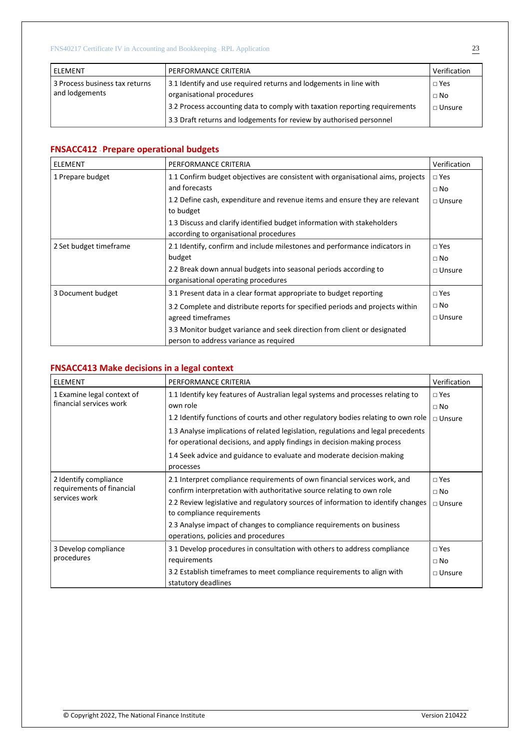| <b>LELEMENT</b>                | PERFORMANCE CRITERIA                                                       | Verification  |
|--------------------------------|----------------------------------------------------------------------------|---------------|
| 3 Process business tax returns | 3.1 Identify and use required returns and lodgements in line with          | $\Box$ Yes    |
| and lodgements                 | organisational procedures                                                  | $\Box$ No     |
|                                | 3.2 Process accounting data to comply with taxation reporting requirements | $\Box$ Unsure |
|                                | 3.3 Draft returns and lodgements for review by authorised personnel        |               |

# **FNSACC412** - **Prepare operational budgets**

| <b>ELEMENT</b>         | PERFORMANCE CRITERIA                                                                                      | Verification  |  |  |
|------------------------|-----------------------------------------------------------------------------------------------------------|---------------|--|--|
| 1 Prepare budget       | 1.1 Confirm budget objectives are consistent with organisational aims, projects                           |               |  |  |
|                        | and forecasts<br>1.2 Define cash, expenditure and revenue items and ensure they are relevant<br>to budget |               |  |  |
|                        |                                                                                                           |               |  |  |
|                        |                                                                                                           |               |  |  |
|                        | 1.3 Discuss and clarify identified budget information with stakeholders                                   |               |  |  |
|                        | according to organisational procedures                                                                    |               |  |  |
| 2 Set budget timeframe | 2.1 Identify, confirm and include milestones and performance indicators in                                | $\Box$ Yes    |  |  |
|                        | budget                                                                                                    | $\Box$ No     |  |  |
|                        | 2.2 Break down annual budgets into seasonal periods according to                                          | $\Box$ Unsure |  |  |
|                        | organisational operating procedures                                                                       |               |  |  |
| 3 Document budget      | 3.1 Present data in a clear format appropriate to budget reporting                                        | $\Box$ Yes    |  |  |
|                        | 3.2 Complete and distribute reports for specified periods and projects within                             | $\Box$ No     |  |  |
|                        | agreed timeframes                                                                                         | $\Box$ Unsure |  |  |
|                        | 3.3 Monitor budget variance and seek direction from client or designated                                  |               |  |  |
|                        | person to address variance as required                                                                    |               |  |  |

# **FNSACC413 Make decisions in a legal context**

| <b>ELEMENT</b>                                                      | PERFORMANCE CRITERIA                                                                                                                                          | Verification  |
|---------------------------------------------------------------------|---------------------------------------------------------------------------------------------------------------------------------------------------------------|---------------|
| 1 Examine legal context of                                          | 1.1 Identify key features of Australian legal systems and processes relating to                                                                               | $\sqcap$ Yes  |
| financial services work                                             | own role                                                                                                                                                      | $\Box$ No     |
|                                                                     | 1.2 Identify functions of courts and other regulatory bodies relating to own role                                                                             | $\Box$ Unsure |
|                                                                     | 1.3 Analyse implications of related legislation, regulations and legal precedents<br>for operational decisions, and apply findings in decision-making process |               |
|                                                                     |                                                                                                                                                               |               |
|                                                                     | 1.4 Seek advice and guidance to evaluate and moderate decision-making                                                                                         |               |
|                                                                     | processes                                                                                                                                                     |               |
| 2 Identify compliance<br>requirements of financial<br>services work | 2.1 Interpret compliance requirements of own financial services work, and                                                                                     | $\Box$ Yes    |
|                                                                     | confirm interpretation with authoritative source relating to own role                                                                                         | $\sqcap$ No   |
|                                                                     | 2.2 Review legislative and regulatory sources of information to identify changes                                                                              | $\Box$ Unsure |
|                                                                     | to compliance requirements                                                                                                                                    |               |
|                                                                     | 2.3 Analyse impact of changes to compliance requirements on business                                                                                          |               |
|                                                                     | operations, policies and procedures                                                                                                                           |               |
| 3 Develop compliance<br>procedures                                  | 3.1 Develop procedures in consultation with others to address compliance                                                                                      | $\Box$ Yes    |
|                                                                     | requirements                                                                                                                                                  | $\Box$ No     |
|                                                                     | 3.2 Establish timeframes to meet compliance requirements to align with                                                                                        | $\Box$ Unsure |
|                                                                     | statutory deadlines                                                                                                                                           |               |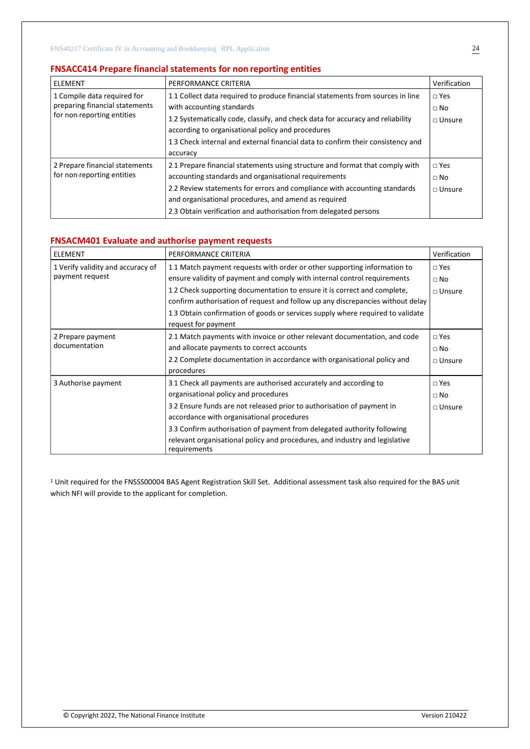### **FNSACC414 Prepare financial statements for non**-**reporting entities**

| ELEMENT                                                                                     | PERFORMANCE CRITERIA                                                                                                                                                                                                                                                                                                                              | Verification                             |
|---------------------------------------------------------------------------------------------|---------------------------------------------------------------------------------------------------------------------------------------------------------------------------------------------------------------------------------------------------------------------------------------------------------------------------------------------------|------------------------------------------|
| 1 Compile data required for<br>preparing financial statements<br>for non-reporting entities | 1.1 Collect data required to produce financial statements from sources in line<br>with accounting standards<br>1.2 Systematically code, classify, and check data for accuracy and reliability<br>according to organisational policy and procedures<br>1.3 Check internal and external financial data to confirm their consistency and<br>accuracy | $\Box$ Yes<br>$\Box$ No<br>$\Box$ Unsure |
| 2 Prepare financial statements<br>for non-reporting entities                                | 2.1 Prepare financial statements using structure and format that comply with<br>accounting standards and organisational requirements<br>2.2 Review statements for errors and compliance with accounting standards<br>and organisational procedures, and amend as required<br>2.3 Obtain verification and authorisation from delegated persons     | $\Box$ Yes<br>$\Box$ No<br>$\Box$ Unsure |

#### **FNSACM401 Evaluate and authorise payment requests**

| <b>ELEMENT</b>                                       | PERFORMANCE CRITERIA                                                                                                                                                                                                                                                                                                                                                                                                        | Verification                             |
|------------------------------------------------------|-----------------------------------------------------------------------------------------------------------------------------------------------------------------------------------------------------------------------------------------------------------------------------------------------------------------------------------------------------------------------------------------------------------------------------|------------------------------------------|
| 1 Verify validity and accuracy of<br>payment request | 1.1 Match payment requests with order or other supporting information to<br>ensure validity of payment and comply with internal control requirements<br>1.2 Check supporting documentation to ensure it is correct and complete,<br>confirm authorisation of request and follow up any discrepancies without delay<br>1.3 Obtain confirmation of goods or services supply where required to validate<br>request for payment | $\Box$ Yes<br>$\Box$ No<br>$\Box$ Unsure |
| 2 Prepare payment<br>documentation                   | 2.1 Match payments with invoice or other relevant documentation, and code<br>and allocate payments to correct accounts<br>2.2 Complete documentation in accordance with organisational policy and<br>procedures                                                                                                                                                                                                             | $\Box$ Yes<br>$\Box$ No<br>$\Box$ Unsure |
| 3 Authorise payment                                  | 3.1 Check all payments are authorised accurately and according to<br>organisational policy and procedures<br>3.2 Ensure funds are not released prior to authorisation of payment in<br>accordance with organisational procedures<br>3.3 Confirm authorisation of payment from delegated authority following<br>relevant organisational policy and procedures, and industry and legislative<br>requirements                  | $\Box$ Yes<br>$\Box$ No<br>$\Box$ Unsure |

<sup>1</sup> Unit required for the FNSSS00004 BAS Agent Registration Skill Set. Additional assessment task also required for the BAS unit which NFI will provide to the applicant for completion.